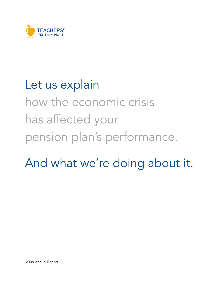

# Let us explain how the economic crisis has affected your pension plan's performance.

And what we're doing about it.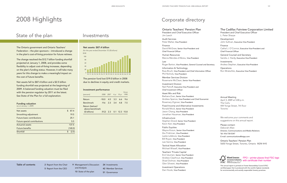# 2008 Highlights

# State of the plan

The Ontario government and Ontario Teachers' Federation – the plan sponsors – introduced a change in the plan's cost-of-living provision for future retirees.

The change resolved the \$12.7 billion funding shortfall projected at January 1, 2008, and provides some flexibility to adjust cost-of-living increases, depending on the plan's funding status. However, it will take many years for this change to make a meaningful impact on the cost of future benefits.

Net assets fell to \$87.4 billion and a \$2.5 billion funding shortfall was projected at the beginning of 2009. A balanced funding valuation must be filed with the pension regulator by 2011 at the latest. See State of the Plan for a full explanation.

### Funding valuation

*(as at January 1, 2009)*

| Net assets                        | \$. | 87.4    |
|-----------------------------------|-----|---------|
| Smoothing adjustment              |     | 19.5    |
| <b>Future basic contributions</b> |     | 25.1    |
| Future special contributions      |     | 5.5     |
| <b>Actuarial assets</b>           |     | 137.5   |
| <b>Future benefits</b>            |     | (140.0) |
| Shortfall                         | S   | (2.5)   |

## Investments

### Net assets: \$87.4 billion

*(for the year ended December 31) (\$ billions)*



The pension fund lost \$19.0 billion in 2008 due to declines in equity and credit markets.

### Investment performance

| (percent)                          | 2008    |                           |                 | 2007 4-yr. 10-yr. | Since<br>1990 |
|------------------------------------|---------|---------------------------|-----------------|-------------------|---------------|
| Return                             | $-18.0$ |                           | $4.5\quad 3.3$  | 6.6               | 9.6           |
| <b>Benchmark</b>                   | $-9.6$  | 2.3                       | $\frac{3.4}{2}$ | 48                | 75            |
| Return (below)/<br>above benchmark |         |                           |                 |                   |               |
| (\$ billions)                      |         | $(9.2)$ 2.3 0.1 12.3 15.8 |                 |                   |               |

- Table of contents 2 Report from the Chair 5 Report from the CEO
- 9 Management's Discussion and Analysis 10 State of the plan
- 24 Investments
- 42 Member Services
- 51 Governance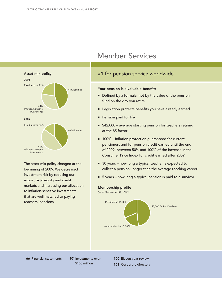

The asset-mix policy changed at the beginning of 2009. We decreased investment risk by reducing our exposure to equity and credit markets and increasing our allocation to inflation-sensitive investments that are well matched to paying teachers' pensions.

# Member Services

### #1 for pension service worldwide

### Your pension is a valuable benefit:

- Defined by a formula, not by the value of the pension fund on the day you retire
- Legislation protects benefits you have already earned
- Pension paid for life
- \$42,000 average starting pension for teachers retiring at the 85 factor
- 100% inflation protection guaranteed for current pensioners and for pension credit earned until the end of 2009; between 50% and 100% of the increase in the Consumer Price Index for credit earned after 2009
- 30 years how long a typical teacher is expected to collect a pension; longer than the average teaching career
- 5 years how long a typical pension is paid to a survivor

### Membership profile

*(as at December 31, 2008)*



66 Financial statements 97 Investments over

\$100 million

100 Eleven-year review

101 Corporate directory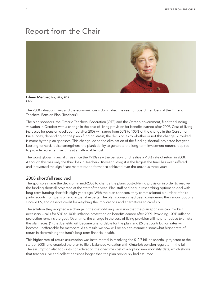# Report from the Chair



Eileen Mercier, MA, MBA, FICB Chair

The 2008 valuation filing and the economic crisis dominated the year for board members of the Ontario Teachers' Pension Plan (Teachers').

The plan sponsors, the Ontario Teachers' Federation (OTF) and the Ontario government, filed the funding valuation in October with a change in the cost-of-living provision for benefits earned after 2009. Cost-of-living increases for pension credit earned after 2009 will range from 50% to 100% of the change in the Consumer Price Index, depending on the plan's funding status; the decision as to whether or not this change is invoked is made by the plan sponsors. This change led to the elimination of the funding shortfall projected last year. Looking forward, it also strengthens the plan's ability to generate the long-term investment returns required to provide retirement security at an affordable cost.

The worst global financial crisis since the 1930s saw the pension fund realize a -18% rate of return in 2008. Although this was only the third loss in Teachers' 18-year history, it is the largest the fund has ever suffered, and it reversed the significant market outperformance achieved over the previous three years.

### 2008 shortfall resolved

The sponsors made the decision in mid-2008 to change the plan's cost-of-living provision in order to resolve the funding shortfall projected at the start of the year. Plan staff had begun researching options to deal with long-term funding shortfalls eight years ago. With the plan sponsors, they commissioned a number of thirdparty reports from pension and actuarial experts. The plan sponsors had been considering the various options since 2005, and deserve credit for weighing the implications and alternatives so carefully.

The solution they adopted – a change in the cost-of-living provision that the plan sponsors can invoke if necessary – calls for 50% to 100% inflation protection on benefits earned after 2009. Providing 100% inflation protection remains the goal. Over time, the change in the cost-of-living provision will help to reduce two risks the plan faces: (1) that benefits will become unaffordable for the plan, and (2) that contribution rates will become unaffordable for members. As a result, we now will be able to assume a somewhat higher rate of return in determining the fund's long-term financial health.

This higher rate-of-return assumption was instrumental in resolving the \$12.7 billion shortfall projected at the start of 2008, and enabled the plan to file a balanced valuation with Ontario's pension regulator in the fall. The assumption also took into consideration the one-time cost of adopting new mortality data, which shows that teachers live and collect pensions longer than the plan previously had assumed.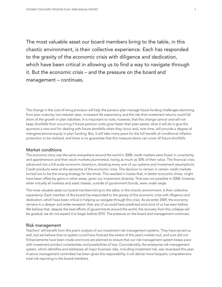The most valuable asset our board members bring to the table, in this chaotic environment, is their collective experience. Each has responded to the gravity of the economic crisis with diligence and dedication, which have been critical in allowing us to find a way to navigate through it. But the economic crisis – and the pressure on the board and management – continues.

The change in the cost-of-living provision will help the pension plan manage future funding challenges stemming from plan maturity, low interest rates, increased life expectancy and the risk that investment returns could fall short of the growth in plan liabilities. It is important to note, however, that this change cannot and will not keep shortfalls from occurring if future pension costs grow faster than plan assets; what it will do is give the sponsors a new tool for dealing with future shortfalls when they occur and, over time, will provide a degree of intergenerational equity in plan funding. But, it will take many years for the full benefit of conditional inflation protection to be realized, and there is no guarantee that this measure alone can cover all future shortfalls.

### Market conditions

The economic story was the same everywhere around the world in 2008: credit markets were frozen in uncertainty and apprehension and then stock markets plummeted, losing as much as 50% of their value. The financial crisis advanced into a full-scale economic downturn, stressing every one of our systems and investment assumptions. Credit products were at the epicentre of the economic crisis. The decision to remain in certain credit markets turned out to be the wrong strategy for the times. This resulted in losses that, in better economic times, might have been offset by gains in other areas, given our investment diversity. That was not possible in 2008, however, when virtually all markets and asset classes, outside of government bonds, were under siege.

The most valuable asset our board members bring to the table, in this chaotic environment, is their collective experience. Each member of this board has responded to the gravity of the economic crisis with diligence and dedication, which have been critical in helping us navigate through this crisis. As we enter 2009, the economy remains in a deeper and wider recession than any of us could have predicted and none of us has seen before. We believe that, despite the best efforts of governments around the world, the recovery from this collapse will be gradual; we do not expect it to begin before 2010. The pressure on the board and management continues.

### Risk management

Teachers' will benefit from this year's analysis of our investment risk management systems. They have served us well, but we believe that no system could have forecast the extent of this year's market rout, and ours did not. Enhancements have been made and more are planned to ensure that our risk management system keeps pace with investment product complexities and possibilities of loss. Coincidentally, the enterprise risk management system, which identifies and addresses all major business risks, including investment risk, was revamped this year. A senior management committee has been given this responsibility. It will deliver more frequent, comprehensive total risk reporting to the board members.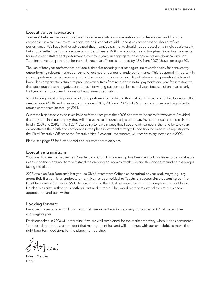### Executive compensation

Teachers' believes we should practise the same executive compensation principles we demand from the companies in which we invest. In short, we believe that variable incentive compensation should reflect performance. We have further advocated that incentive payments should not be based on a single year's results, but should reflect performance over a number of years. Both our short-term and long-term incentive payments for investment staff reflect performance over four years; in aggregate these payments are down \$27 million. Total incentive compensation for named executive officers is reduced by 48% from 2007 (shown on page 60).

The use of four-year performance periods is aimed at ensuring that managers are rewarded fairly for consistently outperforming relevant market benchmarks, but not for periods of underperformance. This is especially important in years of performance extremes – good and bad – as it removes the volatility of extreme compensation highs and lows. This compensation structure precludes executives from receiving windfall payments one year for investments that subsequently turn negative, but also avoids wiping out bonuses for several years because of one particularly bad year, which could lead to a major loss of investment talent.

Variable compensation is primarily linked to performance relative to the markets. This year's incentive bonuses reflect one bad year (2008), and three very strong years (2007, 2006 and 2005); 2008's underperformance will significantly reduce compensation through 2011.

Our three highest paid executives have deferred receipt of their 2008 short-term bonuses for two years. Provided that they remain in our employ, they will receive these amounts, adjusted for any investment gains or losses in the fund in 2009 and 2010, in April 2011. Agreeing to leave money they have already earned in the fund for two years demonstrates their faith and confidence in the plan's investment strategy. In addition, no executives reporting to the Chief Executive Officer or the Executive Vice-President, Investments, will receive salary increases in 2009.

Please see page 57 for further details on our compensation plans.

### Executive transitions

2008 was Jim Leech's first year as President and CEO. His leadership has been, and will continue to be, invaluable in ensuring the plan's ability to withstand the ongoing economic aftershocks and the long-term funding challenges facing the plan.

2008 was also Bob Bertram's last year as Chief Investment Officer, as he retired at year end. Anything I say about Bob Bertram is an understatement. He has been critical to Teachers' success since becoming our first Chief Investment Officer in 1990. He is a legend in the art of pension investment management – worldwide. He also is a rarity, in that he is both brilliant and humble. The board members extend to him our sincere appreciation and best wishes.

### Looking forward

Because it takes longer to climb than to fall, we expect market recovery to be slow. 2009 will be another challenging year.

Decisions taken in 2008 will determine if we are well-positioned for the market recovery, when it does commence. Your board members are confident that management has and will continue, with our oversight, to make the right long-term decisions for the plan's membership.

Eileen Mercier Chair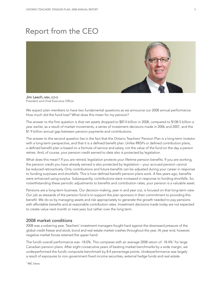# Report from the CEO



Jim Leech, MBA, ICD.D President and Chief Executive Officer

We expect plan members to have two fundamental questions as we announce our 2008 annual performance: How much did the fund lose? What does this mean for my pension?

The answer to the first question is that net assets dropped to \$87.4 billion in 2008, compared to \$108.5 billion a year earlier, as a result of market movements, a series of investment decisions made in 2006 and 2007, and the \$1.9 billion annual gap between pension payments and contributions.

The answer to the second question lies in the fact that the Ontario Teachers' Pension Plan is a long-term investor with a long-term perspective, and that it is a defined benefit plan. Unlike RRSPs or defined contribution plans, a defined benefit plan is based on a formula of service and salary, not the value of the fund on the day a person retires. And, of course, your pension credit earned to date also is protected by legislation.

What does this mean? If you are retired, legislation protects your lifetime pension benefits. If you are working, the pension credit you have already earned is also protected by legislation – your accrued pension cannot be reduced retroactively. Only contributions and future benefits can be adjusted during your career in response to funding surpluses and shortfalls. This is how defined benefit pension plans work. A few years ago, benefits were enhanced using surplus. Subsequently, contributions were increased in response to funding shortfalls. So, notwithstanding these periodic adjustments to benefits and contribution rates, your pension is a valuable asset.

Pensions are a long-term business. Our decision-making, year in and year out, is focused on that long-term view. Our job as stewards of the pension fund is to support the plan sponsors in their commitment to providing this benefit. We do so by managing assets and risk appropriately to generate the growth needed to pay pensions with affordable benefits and at reasonable contribution rates. Investment decisions made today are not expected to create value next month or next year, but rather over the long term.

### 2008 market conditions

2008 was a sobering year. Teachers' investment managers fought hard against the downward pressure of the global credit freeze and stock, bond and real estate market crashes throughout the year. At year end, however, negative market forces retained the upper hand.

The fund's overall performance was -18.0%. This compares with an average 2008 return of -18.4%<sup>1</sup> for large Canadian pension plans. After eight consecutive years of beating market benchmarks by a wide margin, we underperformed the fund's composite benchmark by 8.4 percentage points. Underperformance was largely a result of exposures to non-government fixed income securities, external hedge funds and real estate.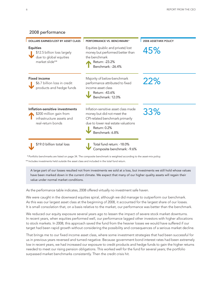

\*\* Includes investments held outside the asset class and included in the total fund return.

A large part of our losses resulted not from investments we sold at a loss, but investments we still hold whose values have been marked down in the current climate. We expect that many of our higher quality assets will regain their value under normal market conditions.

As the performance table indicates, 2008 offered virtually no investment safe haven.

We were caught in the downward equities spiral, although we did manage to outperform our benchmark. As this was our largest asset class at the beginning of 2008, it accounted for the largest share of our losses. It is small consolation that, on a basis relative to the market, our performance was better than the benchmark.

We reduced our equity exposure several years ago to lessen the impact of severe stock market downturns. In recent years, when equities performed well, our performance lagged other investors with higher allocations to stock markets. In 2008, this approach saved the fund from the heavier losses we would have suffered if our target had been rapid growth without considering the possibility and consequences of a serious market decline.

That brings me to our fixed income asset class, where some investment strategies that had been successful for us in previous years reversed and turned negative. Because government bond interest rates had been extremely low in recent years, we had increased our exposure to credit products and hedge funds to gain the higher returns needed to meet our rising pension obligations. This worked well for the fund for several years; the portfolio surpassed market benchmarks consistently. Then the credit crisis hit.

2008 performance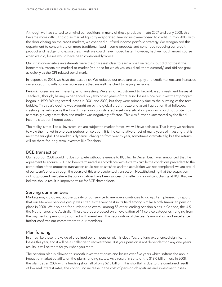Although we had started to unwind our positions in many of these products in late 2007 and early 2008, this became more difficult to do as market liquidity evaporated, leaving us overexposed to credit. In mid-2008, with the door closing on the credit markets, we changed our fixed income portfolio strategy. We reorganized this department to concentrate on more traditional fixed income products and continued reducing our credit product and hedge fund exposures. I wish we could have moved faster; however, had we not changed course when we did, losses would have been considerably worse.

Our inflation-sensitive investments were the only asset class to earn a positive return, but did not beat the benchmark. Assets are marked-to-market (the price for which you could sell them currently) and did not grow as quickly as the CPI-related benchmark.

In response to 2008, we have decreased risk. We reduced our exposure to equity and credit markets and increased our allocation to inflation-sensitive assets that are well matched to paying pensions.

Periodic losses are an inherent part of investing. We are not accustomed to broad-based investment losses at Teachers', though, having experienced only two other years of total fund losses since our investment program began in 1990. We registered losses in 2001 and 2002, but they were primarily due to the bursting of the tech bubble. This year's decline was brought on by the global credit freeze and asset liquidation that followed, crashing markets across the board. Even our sophisticated asset diversification program could not protect us, as virtually every asset class and market was negatively affected. This was further exacerbated by the fixed income situation I noted above.

The reality is that, like all investors, we are subject to market forces; we will have setbacks. That is why we hesitate to view the market in one-year periods of isolation. It is the cumulative effect of many years of investing that is most meaningful. The market is dynamic, changing from year to year, sometimes dramatically, but the returns will be there for long-term investors like Teachers'.

### BCE transaction

Our report on 2008 would not be complete without reference to BCE Inc. In December, it was announced that the agreement to acquire BCE had been terminated in accordance with its terms. While the conditions precedent to the completion of the proposed transaction could not be satisfied and the acquisition was not completed, we are proud of our team's efforts through the course of this unprecedented transaction. Notwithstanding that the acquisition did not proceed, we believe that our initiatives have been successful in effecting significant change at BCE that we believe should result in improved value for BCE shareholders.

### Serving our members

Markets may go down, but the quality of our service to members continues to go up. I am pleased to report that our Member Services group was cited as the very best in its field among similar North American pension plans in 2008. We also tied for number one overall among 58 other leading pension plans in Canada, the U.S., the Netherlands and Australia. These scores are based on an evaluation of 11 service categories, ranging from the payment of pensions to contact with members. This recognition of the team's innovation and excellence further confirms our commitment to our members.

### Plan funding

In times like these, the value of a defined benefit pension plan is clear. Yes, the fund experienced significant losses this year, and it will be a challenge to recover them. But your pension is not dependent on any one year's results. It will be there for you when you retire.

The pension plan is allowed to smooth investment gains and losses over five years which softens the annual impact of market volatility on the plan's funding status. As a result, in spite of the \$19.0 billion loss in 2008, the plan began 2009 with a funding shortfall of only \$2.5 billion. This shortfall is due to the combined result of low real interest rates, the continuing increase in the cost of pension obligations and investment losses.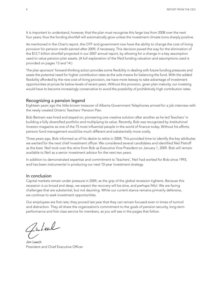It is important to understand, however, that the plan must recognize this large loss from 2008 over the next four years; thus the funding shortfall will automatically grow unless the investment climate turns sharply positive.

As mentioned in the Chair's report, the OTF and government now have the ability to change the cost-of-living provision for pension credit earned after 2009, if necessary. This decision paved the way for the elimination of the \$12.7 billion shortfall projected in our 2007 annual report, by allowing for a change in a key assumption used to value pension plan assets. (A full explanation of the filed funding valuation and assumptions used is provided on pages 13 and 14.)

The plan sponsors' forward-thinking action provides some flexibility in dealing with future funding pressures and eases the potential need for higher contribution rates as the sole means for balancing the fund. With the added flexibility afforded by the new cost-of-living provision, we have more leeway to take advantage of investment opportunities at prices far below levels of recent years. Without this provision, given plan maturity, our investing would have to become increasingly conservative to avoid the possibility of prohibitively high contribution rates.

### Recognizing a pension legend

Eighteen years ago the little-known treasurer of Alberta Government Telephones arrived for a job interview with the newly created Ontario Teachers' Pension Plan.

Bob Bertram was hired and stayed on, pioneering one creative solution after another as he led Teachers' in building a fully diversified portfolio and multiplying its value. Recently, Bob was recognized by *Institutional Investor* magazine as one of the 75 most influential people in the world of finance today. Without his efforts, pension fund management would be much different and substantially more costly.

Three years ago, Bob informed us of his desire to retire in 2008. This provided time to identify the key attributes we wanted for the next chief investment officer. We considered several candidates and identified Neil Petroff as the best. Neil took over the reins from Bob as Executive Vice-President on January 1, 2009. Bob will remain available to Neil as a senior investment advisor for the next two years.

In addition to demonstrated expertise and commitment to Teachers', Neil had worked for Bob since 1993, and has been instrumental in producing our next 10-year investment strategy.

### In conclusion

Capital markets remain under pressure in 2009, as the grip of the global recession tightens. Because this recession is so broad and deep, we expect the recovery will be slow, and perhaps fitful. We are facing challenges that are substantial, but not daunting. While our current stance remains primarily defensive, we continue to seek investment opportunities.

Our employees are first rate; they proved last year that they can remain focused even in times of turmoil and distraction. They all share the organization's commitment to the goals of pension security, long-term performance and first class service for members, as you will see in the pages that follow.

Juleal

Jim Leech President and Chief Executive Officer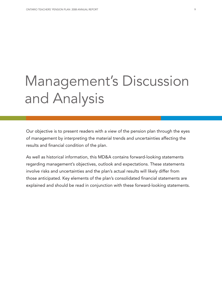# Management's Discussion and Analysis

Our objective is to present readers with a view of the pension plan through the eyes of management by interpreting the material trends and uncertainties affecting the results and financial condition of the plan.

As well as historical information, this MD&A contains forward-looking statements regarding management's objectives, outlook and expectations. These statements involve risks and uncertainties and the plan's actual results will likely differ from those anticipated. Key elements of the plan's consolidated financial statements are explained and should be read in conjunction with these forward-looking statements.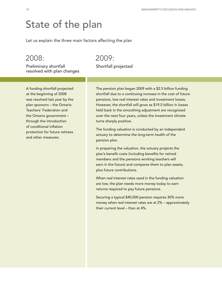# State of the plan

Let us explain the three main factors affecting the plan

## 2008:

Preliminary shortfall resolved with plan changes

# 2009:

Shortfall projected

A funding shortfall projected at the beginning of 2008 was resolved last year by the plan sponsors – the Ontario Teachers' Federation and the Ontario government – through the introduction of conditional inflation protection for future retirees and other measures.

The pension plan began 2009 with a \$2.5 billion funding shortfall due to a continuing increase in the cost of future pensions, low real interest rates and investment losses. However, the shortfall will grow as \$19.5 billion in losses held back in the smoothing adjustment are recognized over the next four years, unless the investment climate turns sharply positive.

The funding valuation is conducted by an independent actuary to determine the long-term health of the pension plan.

In preparing the valuation, the actuary projects the plan's benefit costs (including benefits for retired members and the pensions working teachers will earn in the future) and compares them to plan assets, plus future contributions.

When real interest rates used in the funding valuation are low, the plan needs more money today to earn returns required to pay future pensions.

Securing a typical \$40,000 pension requires 30% more money when real interest rates are at 2% – approximately their current level – than at 4%.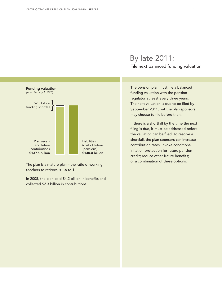

The plan is a mature plan – the ratio of working teachers to retirees is 1.6 to 1.

In 2008, the plan paid \$4.2 billion in benefits and collected \$2.3 billion in contributions.

## By late 2011: File next balanced funding valuation

The pension plan must file a balanced funding valuation with the pension regulator at least every three years. The next valuation is due to be filed by September 2011, but the plan sponsors may choose to file before then.

If there is a shortfall by the time the next filing is due, it must be addressed before the valuation can be filed. To resolve a shortfall, the plan sponsors can increase contribution rates; invoke conditional inflation protection for future pension credit; reduce other future benefits; or a combination of these options.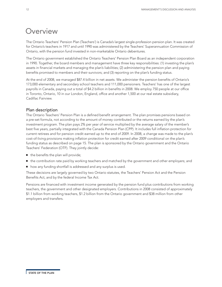## **Overview**

The Ontario Teachers' Pension Plan (Teachers') is Canada's largest single-profession pension plan. It was created for Ontario's teachers in 1917 and until 1990 was administered by the Teachers' Superannuation Commission of Ontario, with the pension fund invested in non-marketable Ontario debentures.

The Ontario government established the Ontario Teachers' Pension Plan Board as an independent corporation in 1990. Together, the board members and management have three key responsibilities: (1) investing the plan's assets in financial markets and managing the plan's liabilities; (2) administering the pension plan and paying benefits promised to members and their survivors; and (3) reporting on the plan's funding status.

At the end of 2008, we managed \$87.4 billion in net assets. We administer the pension benefits of Ontario's 173,000 elementary and secondary school teachers and 111,000 pensioners. Teachers' has one of the largest payrolls in Canada, paying out a total of \$4.2 billion in benefits in 2008. We employ 750 people at our office in Toronto, Ontario, 10 in our London, England, office and another 1,500 at our real estate subsidiary, Cadillac Fairview.

### Plan description

The Ontario Teachers' Pension Plan is a defined benefit arrangement. The plan promises pensions based on a pre-set formula, not according to the amount of money contributed or the returns earned by the plan's investment program. The plan pays 2% per year of service multiplied by the average salary of the member's best five years, partially integrated with the Canada Pension Plan (CPP). It includes full inflation protection for current retirees and for pension credit earned up to the end of 2009. In 2008, a change was made to the plan's cost-of-living provisions making inflation protection for credit earned after 2009 conditional on the plan's funding status as described on page 15. The plan is sponsored by the Ontario government and the Ontario Teachers' Federation (OTF). They jointly decide:

- the benefits the plan will provide;
- the contribution rate paid by working teachers and matched by the government and other employers; and
- how any funding shortfall is addressed and any surplus is used.

These decisions are largely governed by two Ontario statutes, the Teachers' Pension Act and the Pension Benefits Act, and by the federal Income Tax Act.

Pensions are financed with investment income generated by the pension fund plus contributions from working teachers, the government and other designated employers. Contributions in 2008 consisted of approximately \$1.1 billion from working teachers, \$1.2 billion from the Ontario government and \$38 million from other employers and transfers.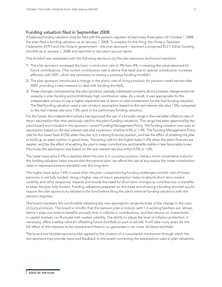### Funding valuation filed in September 2008

A balanced funding valuation must be filed with the pension regulator at least every three years. On October 1, 2008, the plan filed a funding valuation as at January 1, 2008. To prepare for the filing, the Ontario Teachers' Federation (OTF) and the Ontario government – the plan sponsors – resolved a projected \$12.7 billion funding shortfall as at January 1, 2008 and reported in last year's annual report.

The shortfall was addressed with the following decisions by the plan sponsors and board members:

- 1. The plan sponsors increased the basic contribution rate to 9% from 8%, increasing the value assumed for future contributions. (The current contribution rate is above that level due to special contribution increases effective until 2021, which are necessary to resolve a previous funding shortfall.)
- 2. The plan sponsors introduced a change in the plan's cost-of-living provision for pension credit earned after 2009, providing a new measure to deal with funding shortfalls.
- 3. These changes, introduced by the plan sponsors, partially addressed concerns about possible intergenerational inequity in plan funding and prohibitively high contribution rates. As a result, it was appropriate for the independent actuary to use a higher expected rate of return on plan investments for the final funding valuation. The filed funding valuation used a rate-of-return assumption based on the real interest rate plus 1.5%, compared to the real interest rate plus 1.0% used in the preliminary funding valuation.

For the future, the independent actuary has approved the use of a broader range in the real (after inflation) rate-ofreturn assumption than that previously used for the plan's funding valuations. This range has been approved by the plan's board and included in the sponsors' current Funding Management Policy. The funding valuation now uses an assumption based on the real interest rate plus a premium of either 0.5% or 1.4%. The Funding Management Policy calls for the lower basis (0.5%) when the plan is in a strong financial position, and has the effect of enabling the plan to build up an asset cushion in good times. The policy calls for the higher basis (1.4%) when the plan's finances are weaker, and has the effect of enabling the plan to keep contributions and benefits stable in less favourable times. Previously, the assumption was based on the real interest rate plus either 0.5% or 1.0%.

The lower basis (plus 0.5%) is applied when the plan is in a surplus position. Using a more conservative basis for the funding valuation helps ensure that the pension plan can afford the use of any surplus (for lower contribution rates or improved pension benefits) over the long term.

The higher basis (plus 1.4%) is used when the plan is experiencing funding challenges and the cost of future pensions is not fully funded. Using a higher rate-of-return assumption helps to absorb short-term market volatility and other temporary impacts and avoids the need for short-term changes to contributions or benefits to keep the plan fully funded. Funding valuations prepared on this basis and showing a funding shortfall would require the plan sponsors to rebalance the fund before filing the plan's triennial funding valuations with the pension regulator.

The board members felt comfortable adopting the new assumption range because of the change in the costof-living provision. The board is mindful that this pension plan is mature, with 1.6 working teachers per retiree, hence it pays out more in benefits annually than it collects in contributions, and that returns on investments in capital markets can fluctuate with market volatility. The ability to adjust the level of inflation protection, if necessary, offers a safety valve for offsetting future shortfalls (in part or whole). It will take many years for the full effect of this measure to be realized and there is no guarantee it can cover all future shortfalls.

The board and the plan sponsors also agreed to the creation of a consultative mechanism through which the two sponsors may provide input and feedback to the board concerning the assumptions used in plan valuations.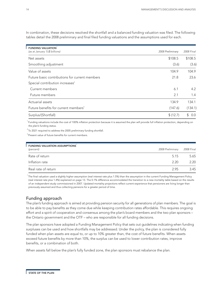| <b>FUNDING VALUATION</b><br>(as at January 1) (\$ billions) | 2008 Preliminary | 2008 Final          |
|-------------------------------------------------------------|------------------|---------------------|
| Net assets                                                  | \$108.5          | \$108.5             |
| Smoothing adjustment                                        | (3.6)            | (3.6)               |
| Value of assets                                             | 104.9            | 104.9               |
| Future basic contributions for current members              | 21.8             | 23.6                |
| Special contribution increases <sup>2</sup>                 |                  |                     |
| Current members                                             | 6.1              | 4.2                 |
| Future members                                              | 2.1              | 1.4                 |
| Actuarial assets                                            | 134.9            | 134.1               |
| Future benefits for current members <sup>3</sup>            | (147.6)          | (134.1)             |
| Surplus/(Shortfall)                                         | \$(12.7)         | $\mathbb{S}$<br>0.0 |

In combination, these decisions resolved the shortfall and a balanced funding valuation was filed. The following tables detail the 2008 preliminary and final filed funding valuations and the assumptions used for each.

<sup>1</sup> Funding valuations include the cost of 100% inflation protection because it is assumed the plan will provide full inflation protection, depending on the plan's funding status.

 $2$ To 2021 required to address the 2005 preliminary funding shortfall.

<sup>3</sup> Present value of future benefits for current members.

| FUNDING VALUATION ASSUMPTIONS <sup>1</sup><br>(percent) | 2008 Preliminary | 2008 Final |
|---------------------------------------------------------|------------------|------------|
| Rate of return                                          | 5.15             | 5.65       |
| Inflation rate                                          | 2.20             | 2.20       |
| Real rate of return                                     | 2.95             | 3.45       |

<sup>1</sup> The final valuation used a slightly higher assumption (real interest rate plus 1.5%) than the assumption in the current Funding Management Policy (real interest rate plus 1.4%) explained on page 13. The 0.1% difference accommodated the transition to a new mortality table based on the results of an independent study commissioned in 2007. Updated mortality projections reflect current experience that pensioners are living longer than previously assumed and thus collecting pensions for a greater period of time.

### Funding approach

The plan's funding approach is aimed at providing pension security for all generations of plan members. The goal is to be able to pay benefits as they come due while keeping contribution rates affordable. This requires ongoing effort and a spirit of cooperation and consensus among the plan's board members and the two plan sponsors – the Ontario government and the OTF – who are responsible for all funding decisions.

The plan sponsors have adopted a Funding Management Policy that sets out guidelines indicating when funding surpluses can be used and how shortfalls may be addressed. Under the policy, the plan is considered fully funded when plan assets are equal to, or up to 10% greater than, the cost of future benefits. When assets exceed future benefits by more than 10%, the surplus can be used to lower contribution rates, improve benefits, or a combination of both.

When assets fall below the plan's fully funded zone, the plan sponsors must rebalance the plan.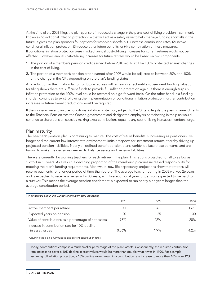At the time of the 2008 filing, the plan sponsors introduced a change in the plan's cost-of-living provision – commonly known as "conditional inflation protection" – that will act as a safety valve to help manage funding shortfalls in the future. It gives the plan sponsors four options for resolving shortfalls: (1) increase contribution rates; (2) invoke conditional inflation protection; (3) reduce other future benefits; or (4) a combination of these measures. If conditional inflation protection were invoked, annual cost-of-living increases for current retirees would not be affected. However, annual cost-of-living increases for future retirees would be based on two components:

- 1. The portion of a member's pension credit earned before 2010 would still be 100% protected against changes in the cost of living.
- 2. The portion of a member's pension credit earned after 2009 would be adjusted to between 50% and 100% of the change in the CPI, depending on the plan's funding status.

Any reduction in the inflation factor for future retirees will remain in effect until a subsequent funding valuation for filing shows there are sufficient funds to provide full inflation protection again. If there is enough surplus, inflation protection at the 100% level could be restored on a go-forward basis. On the other hand, if a funding shortfall continues to exist following the implementation of conditional inflation protection, further contribution increases or future benefit reductions would be required.

If the sponsors were to invoke conditional inflation protection, subject to the Ontario legislature passing amendments to the Teachers' Pension Act, the Ontario government and designated employers participating in the plan would continue to share pension costs by making extra contributions equal to any cost-of-living increases members forgo.

### Plan maturity

The Teachers' pension plan is continuing to mature. The cost of future benefits is increasing as pensioners live longer and the current low interest rate environment limits prospects for investment returns, thereby driving up projected pension liabilities. Nearly all defined benefit pension plans worldwide face these concerns and are having to make the decisions needed to balance assets and pension liabilities.

There are currently 1.6 working teachers for each retiree in the plan. This ratio is projected to fall to as low as 1.2 to 1 in 10 years. As a result, a declining proportion of the membership carries increased responsibility for meeting the plan's funding requirements. Meanwhile, new life expectancy projections show that retirees will receive payments for a longer period of time than before. The average teacher retiring in 2008 worked 26 years and is expected to receive a pension for 30 years, with five additional years of pension expected to be paid to a survivor. This means the average pension entitlement is expected to run nearly nine years longer than the average contribution period.

| DECLINING RATIO OF WORKING-TO-RETIRED MEMBERS                     |       |      |       |  |
|-------------------------------------------------------------------|-------|------|-------|--|
|                                                                   | 1970  | 1990 | 2008  |  |
| Active members per retiree                                        | 10:1  | 4:1  | 1.6:1 |  |
| Expected years on pension                                         | 20    | 25   | 30    |  |
| Value of contributions as a percentage of net assets <sup>1</sup> | 93%   | 42%  | 28%   |  |
| Increase in contribution rate for 10% decline                     |       |      |       |  |
| in asset values                                                   | 0.56% | 1.9% | 4 2%  |  |

<sup>1</sup> Assuming the plan is fully funded and current contribution rates.

Today, contributions comprise a much smaller percentage of the plan's assets. Consequently, the required contribution rate increase to cover a 10% decline in asset values would be more than double what it was in 1990. For example, assuming full inflation protection, a 10% decline would result in a contribution rate increase to more than 16% from 12%.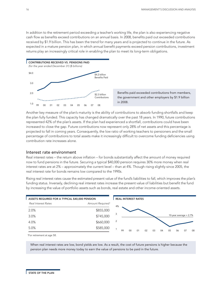In addition to the retirement period exceeding a teacher's working life, the plan is also experiencing negative cash flow as benefits exceed contributions on an annual basis. In 2008, benefits paid out exceeded contributions received by \$1.9 billion. This has been the trend for many years and is projected to continue in the future. As expected in a mature pension plan, in which annual benefit payments exceed pension contributions, investment returns play an increasingly critical role in enabling the plan to meet its long-term obligations.



Another key measure of the plan's maturity is the ability of contributions to absorb funding shortfalls and keep the plan fully funded. This capacity has changed dramatically over the past 18 years. In 1990, future contributions represented 42% of the plan's assets. If the plan had experienced a shortfall, contributions could have been increased to close the gap. Future contributions now represent only 28% of net assets and this percentage is projected to fall in coming years. Consequently, the low ratio of working teachers to pensioners and the small percentage of contributions to total assets make it increasingly difficult to overcome funding deficiencies using 99 00 01 02 03 04 05 06 07 08

### Interest rate environment

contribution rate increases alone.

Real interest rates – the return above inflation – for bonds substantially affect the amount of money required now to fund pensions in the future. Securing a typical \$40,000 pension requires 30% more money when real interest rates are at 2% – approximately the current level – than at 4%. Though rising slightly since 2005, the real interest rate for bonds remains low compared to the 1990s.

Rising real interest rates cause the estimated present value of the fund's liabilities to fall, which improves the plan's funding status. Inversely, declining real interest rates increase the present value of liabilities but benefit the fund by increasing the value of portfolio assets such as bonds, real estate and other income-oriented assets.



<sup>1</sup>For retirement at age 58.

When real interest rates are low, bond yields are low. As a result, the cost of future pensions is higher because the pension plan needs more money today to earn the value of pensions to be paid in the future.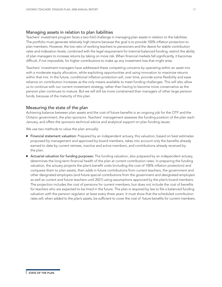### Managing assets in relation to plan liabilities

Teachers' investment program faces a two-fold challenge in managing plan assets in relation to the liabilities. The portfolio must generate relatively high returns because the goal is to provide 100% inflation protection to plan members. However, the low ratio of working teachers to pensioners and the desire for stable contribution rates and indexation levels, combined with the legal requirement for triennial balanced funding, restrict the ability of plan managers to increase returns by taking on more risk. When financial markets fall significantly, it becomes difficult, if not impossible, for higher contributions to make up any investment loss that might arise.

Teachers' investment managers have addressed these competing concerns by operating within an asset mix with a moderate equity allocation, while exploiting opportunities and using innovation to maximize returns within that mix. In the future, conditional inflation protection will, over time, provide some flexibility and ease reliance on contribution increases as the only means available to meet funding challenges. This will also allow us to continue with our current investment strategy, rather than having to become more conservative as the pension plan continues to mature. But we will still be more constrained than managers of other large pension funds, because of the maturity of this plan.

### Measuring the state of the plan

Achieving balance between plan assets and the cost of future benefits is an ongoing job for the OTF and the Ontario government, the plan sponsors. Teachers' management assesses the funding position of the plan each January, and offers the sponsors technical advice and analytical support on plan funding issues.

We use two methods to value the plan annually:

- Financial statement valuation: Prepared by an independent actuary, this valuation, based on best estimates proposed by management and approved by board members, takes into account only the benefits already earned to date by current retirees, inactive and active members, and contributions already received by the plan.
- **Actuarial valuation for funding purposes:** The funding valuation, also prepared by an independent actuary, determines the long-term financial health of the plan at current contribution rates. In preparing the funding valuation, the actuary projects the plan's benefit costs (including the cost of 100% inflation protection) and compares them to plan assets, then adds in future contributions from current teachers, the government and other designated employers (and future special contributions from the government and designated employers as well as current and future teachers until 2021) using assumptions approved by the plan's board members. The projection includes the cost of pensions for current members, but does not include the cost of benefits for teachers who are expected to be hired in the future. The plan is required by law to file a balanced funding valuation with the pension regulator at least every three years. It must show that the scheduled contribution rates will, when added to the plan's assets, be sufficient to cover the cost of future benefits for current members.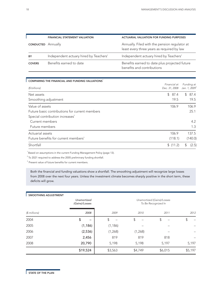|                           | <b>FINANCIAL STATEMENT VALUATION</b>   | <b>ACTUARIAL VALUATION FOR FUNDING PURPOSES</b>                                             |
|---------------------------|----------------------------------------|---------------------------------------------------------------------------------------------|
| <b>CONDUCTED</b> Annually |                                        | Annually. Filed with the pension regulator at<br>least every three years as required by law |
| BY                        | Independent actuary hired by Teachers' | Independent actuary hired by Teachers'                                                      |
| <b>COVERS</b>             | Benefits earned to date                | Benefits earned to date plus projected future<br>benefits and contributions                 |

| COMPARING THE FINANCIAL AND FUNDING VALUATIONS <sup>1</sup> |               |                           |
|-------------------------------------------------------------|---------------|---------------------------|
|                                                             | Financial at  | Funding at                |
| (\$ billions)                                               | Dec. 31, 2008 | Jan. 1, 2009 <sup>1</sup> |
| Net assets                                                  | \$87.4        | 87.4<br>$\mathbb{S}^-$    |
| Smoothing adjustment                                        | 19.5          | 19.5                      |
| Value of assets                                             | 106.9         | 106.9                     |
| Future basic contributions for current members              |               | 25.1                      |
| Special contribution increases <sup>2</sup>                 |               |                           |
| Current members                                             |               | 4.2                       |
| Future members                                              |               | 1.3                       |
| Actuarial assets                                            | 106.9         | 137.5                     |
| Future benefits for current members <sup>3</sup>            | (118.1)       | (140.0)                   |
| Shortfall                                                   | \$(11.2)      | (2.5)                     |

 $1$ Based on assumptions in the current Funding Management Policy (page 13).

 $2^2$  To 2021 required to address the 2005 preliminary funding shortfall.

<sup>3</sup> Present value of future benefits for current members.

Both the financial and funding valuations show a shortfall. The smoothing adjustment will recognize large losses from 2008 over the next four years. Unless the investment climate becomes sharply positive in the short term, these deficits will grow.

| <b>SMOOTHING ADJUSTMENT</b> |                                                      |          |                            |         |         |
|-----------------------------|------------------------------------------------------|----------|----------------------------|---------|---------|
|                             | Unamortized<br>To Be Recognized In<br>(Gains)/Losses |          | Unamortized (Gains)/Losses |         |         |
| $$$ millions)               | 2008                                                 | 2009     | 2010                       | 2011    | 2012    |
| 2004                        | \$                                                   | \$       | \$                         | \$      | \$      |
| 2005                        | (1, 186)                                             | (1, 186) |                            |         |         |
| 2006                        | (2,536)                                              | (1,268)  | (1,268)                    |         |         |
| 2007                        | 2,456                                                | 819      | 819                        | 818     |         |
| 2008                        | 20,790                                               | 5,198    | 5,198                      | 5,197   | 5,197   |
|                             | \$19,524                                             | \$3,563  | \$4,749                    | \$6,015 | \$5,197 |

ľ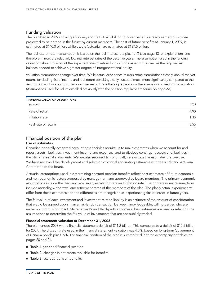### Funding valuation

The plan began 2009 showing a funding shortfall of \$2.5 billion to cover benefits already earned plus those projected to be earned in the future by current members. The cost of future benefits at January 1, 2009, is estimated at \$140.0 billion, while assets (actuarial) are estimated at \$137.5 billion.

The real rate-of-return assumption is based on the real interest rate plus 1.4% (see page 13 for explanation), and therefore mirrors the relatively low real interest rates of the past five years. The assumption used in the funding valuation takes into account the expected rates of return for this fund's asset mix, as well as the required risk balance needed to achieve a greater degree of intergenerational equity.

Valuation assumptions change over time. While actual experience mirrors some assumptions closely, annual market returns (excluding fixed income and real-return bonds) typically fluctuate much more significantly compared to the assumption and so are smoothed over five years. The following table shows the assumptions used in this valuation. (Assumptions used for valuations filed previously with the pension regulator are found on page 22.)

| <b>FUNDING VALUATION ASSUMPTIONS</b> |      |
|--------------------------------------|------|
| (percent)                            | 2009 |
| Rate of return                       | 4.90 |
| Inflation rate                       | 1.35 |
| Real rate of return                  | 3.55 |

### Financial position of the plan Use of estimates

### Canadian generally accepted accounting principles require us to make estimates when we account for and report assets, liabilities, investment income and expenses, and to disclose contingent assets and liabilities in the plan's financial statements. We are also required to continually re-evaluate the estimates that we use. We have reviewed the development and selection of critical accounting estimates with the Audit and Actuarial Committee of the board.

Actuarial assumptions used in determining accrued pension benefits reflect best estimates of future economic and non-economic factors proposed by management and approved by board members. The primary economic assumptions include the discount rate, salary escalation rate and inflation rate. The non-economic assumptions include mortality, withdrawal and retirement rates of the members of the plan. The plan's actual experience will differ from these estimates and the differences are recognized as experience gains or losses in future years.

The fair value of each investment and investment-related liability is an estimate of the amount of consideration that would be agreed upon in an arm's-length transaction between knowledgeable, willing parties who are under no compulsion to act. Management's and third-party appraisers' best estimates are used in selecting the assumptions to determine the fair value of investments that are not publicly traded.

### Financial statement valuation at December 31, 2008

The plan ended 2008 with a financial statement deficit of \$11.2 billion. This compares to a deficit of \$10.5 billion for 2007. The discount rate used in the financial statement valuation was 4.0%, based on long-term Government of Canada bonds plus 0.5%. The financial position of the plan is summarized in three accompanying tables on pages 20 and 21.

- Table 1: year-end financial position
- Table 2: changes in net assets available for benefits
- Table 3: accrued pension benefits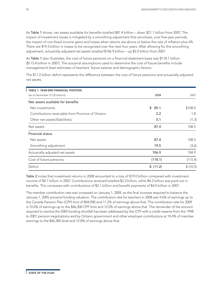As Table 1 shows, net assets available for benefits totalled \$87.4 billion – down \$21.1 billion from 2007. The impact of investment losses is mitigated by a smoothing adjustment that amortizes, over five-year periods, the impact of non-fixed income gains and losses when returns are above or below the rate of inflation plus 6%. There are \$19.5 billion in losses to be recognized over the next four years. After allowing for this smoothing adjustment, actuarially-adjusted net assets totalled \$106.9 billion – up \$2.0 billion from 2007.

As Table 1 also illustrates, the cost of future pensions on a financial statement basis was \$118.1 billion (\$115.4 billion in 2007). The actuarial assumptions used to determine the cost of future benefits include management's best estimates of teachers' future salaries and demographic factors.

The \$11.2 billion deficit represents the difference between the cost of future pensions and actuarially-adjusted net assets.

| TABLE 1: YEAR-END FINANCIAL POSITION              |            |          |
|---------------------------------------------------|------------|----------|
| (as at December 31) (\$ billions)                 | 2008       | 2007     |
| Net assets available for benefits                 |            |          |
| Net investments                                   | \$<br>85.1 | \$108.0  |
| Contributions receivable from Province of Ontario | 2.2        | 1.8      |
| Other net assets/(liabilities)                    | 0.1        | (1.3)    |
| Net assets                                        | 87.4       | 108.5    |
| <b>Financial status</b>                           |            |          |
| Net assets                                        | 87.4       | 108.5    |
| Smoothing adjustment                              | 19.5       | (3.6)    |
| Actuarially-adjusted net assets                   | 106.9      | 104.9    |
| Cost of future pensions                           | (118.1)    | (115.4)  |
| Deficit                                           | \$(11.2)   | \$(10.5) |

Table 2 notes that investment returns in 2008 amounted to a loss of \$19.0 billion compared with investment income of \$4.7 billion in 2007. Contributions received totalled \$2.3 billion, while \$4.2 billion was paid out in benefits. This compares with contributions of \$2.1 billion and benefit payments of \$4.0 billion in 2007.

The member contribution rate was increased on January 1, 2009, as the final increase required to balance the January 1, 2005 actuarial funding valuation. The contribution rate for teachers in 2008 was 9.6% of earnings up to the Canada Pension Plan (CPP) limit of \$44,900 and 11.2% of earnings above that. The contribution rate for 2009 is 10.4% of earnings up to the \$46,300 CPP limit and 12.0% of earnings above that. The remainder of the amount required to resolve the 2005 funding shortfall has been addressed by the OTF with a credit reserve from the 1998 to 2001 pension negotiations and by Ontario government and other employer contributions at 10.4% of member earnings to the \$46,300 level and 12.0% of earnings above that.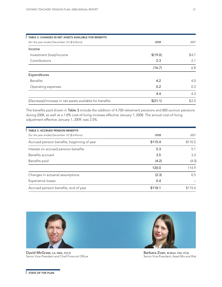ľ

| TABLE 2: CHANGES IN NET ASSETS AVAILABLE FOR BENEFITS    |          |       |
|----------------------------------------------------------|----------|-------|
| (for the year ended December 31) (\$ billions)           | 2008     | 2007  |
| Income                                                   |          |       |
| Investment (loss)/income                                 | \$(19.0) | \$4.7 |
| Contributions                                            | 2.3      | 2.1   |
|                                                          | (16.7)   | 6.8   |
| Expenditures                                             |          |       |
| <b>Benefits</b>                                          | 4.2      | 4.0   |
| Operating expenses                                       | 0.2      | 0.3   |
|                                                          | 4.4      | 4.3   |
| (Decrease)/increase in net assets available for benefits | \$(21.1) | \$2.5 |

The benefits paid shown in Table 3 include the addition of 4,700 retirement pensions and 800 survivor pensions during 2008, as well as a 1.8% cost-of-living increase effective January 1, 2008. The annual cost-of-living adjustment effective January 1, 2009, was 2.5%.

| <b>TABLE 3: ACCRUED PENSION BENEFITS</b>       |         |         |
|------------------------------------------------|---------|---------|
| (for the year ended December 31) (\$ billions) | 2008    | 2007    |
| Accrued pension benefits, beginning of year    | \$115.4 | \$110.5 |
| Interest on accrued pension benefits           | 5.3     | 5.1     |
| Benefits accrued                               | 3.5     | 3.3     |
| Benefits paid                                  | (4.2)   | (4.0)   |
|                                                | 120.0   | 114.9   |
| Changes in actuarial assumptions               | (2.3)   | 0.5     |
| Experience losses                              | 0.4     |         |
| Accrued pension benefits, end of year          | \$118.1 | \$115.4 |



David McGraw, CA, MBA, ICD.D Senior Vice-President and Chief Financial Officer

Barbara Zvan, M.Math, FSA, FCIA Senior Vice-President, Asset Mix and Risk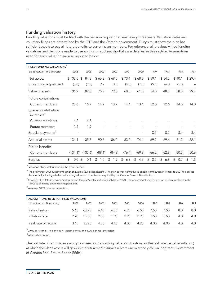### Funding valuation history

Funding valuations must be filed with the pension regulator at least every three years. Valuation dates and voluntary filings are determined by the OTF and the Ontario government. Filings must show the plan has sufficient assets to pay all future benefits to current plan members. For reference, all previously filed funding valuations and decisions made to use surplus or address shortfalls are detailed in this section. Assumptions used for each valuation are also reported below.

| FILED FUNDING VALUATIONS                       |             |            |           |           |           |           |           |           |           |                       |
|------------------------------------------------|-------------|------------|-----------|-----------|-----------|-----------|-----------|-----------|-----------|-----------------------|
| (as at January 1) (\$ billions)                | 2008        | 2005       | 2003      | 2002      | 2001      | 2000      | 1999      | 1998      | 1996      | 1993                  |
| Net assets                                     | \$108.5     | \$<br>84.3 | \$66.2    | \$69.5    | \$73.1    | \$68.3    | \$59.1    | \$54.5    | \$40.1    | \$29.4                |
| Smoothing adjustment                           | (3.6)       | (1.5)      | 9.7       | 3.0       | (4.3)     | (7.3)     | (5.1)     | (6.0)     | (1.8)     | -                     |
| Value of assets                                | 104.9       | 82.8       | 75.9      | 72.5      | 68.8      | 61.0      | 54.0      | 48.5      | 38.3      | 29.4                  |
| Future contributions                           |             |            |           |           |           |           |           |           |           |                       |
| Current members                                | 23.6        | 16.7       | 14.7      | 13.7      | 14.4      | 13.4      | 12.0      | 12.6      | 14.5      | 14.3                  |
| Special contribution<br>increases <sup>2</sup> |             |            |           |           |           |           |           |           |           |                       |
| Current members                                | 4.2         | 4.3        |           |           |           |           |           |           |           |                       |
| Future members                                 | 1.4         | 1.9        |           |           |           |           |           |           |           |                       |
| Special payments <sup>3</sup>                  |             |            |           |           |           |           | 3.7       | 8.5       | 8.4       | 8.4                   |
| Actuarial assets                               | 134.1       | 105.7      | 90.6      | 86.2      | 83.2      | 74.4      | 69.7      | 69.6      | 61.2      | 52.1                  |
| Future benefits                                |             |            |           |           |           |           |           |           |           |                       |
| Current members                                | $(134.1)^4$ | (105.6)    | (89.1)    | (84.3)    | (76.4)    | (69.8)    | (66.2)    | (62.8)    | (60.5)    | (50.6)                |
| Surplus                                        | \$<br>0.0   | \$<br>0.1  | \$<br>1.5 | \$<br>1.9 | \$<br>6.8 | \$<br>4.6 | \$<br>3.5 | \$<br>6.8 | \$<br>0.7 | $\mathfrak{L}$<br>1.5 |

<sup>1</sup> Valuation filings determined by the plan sponsors.

 $^2$ The preliminary 2005 funding valuation showed a \$6.1 billion shortfall. The plan sponsors introduced special contribution increases to 2021 to address the shortfall, allowing a balanced funding valuation to be filed as required by the Ontario Pension Benefits Act.

 $^3$ Owed by the Ontario government to pay off the plan's initial unfunded liability in 1990. The government used its portion of plan surpluses in the 1990s to eliminate the remaining payments.

4 Assumes 100% inflation protection.

| ASSUMPTIONS USED FOR FILED VALUATIONS |      |       |      |      |      |      |      |      |      |               |
|---------------------------------------|------|-------|------|------|------|------|------|------|------|---------------|
| (as at January 1) (percent)           | 2008 | 2005  | 2003 | 2002 | 2001 | 2000 | 1999 | 1998 | 1996 | 1993          |
| Rate of return                        | 5.65 | 6.475 | 6.40 | 6.30 | 6.25 | 6.50 | 7.50 | 7.50 | 8.0  | 8.0           |
| Inflation rate                        | 2.20 | 2.750 | 205  | -90  | 2.20 | 2.25 | 3.50 | 3.50 | 4.0  | $4.0^{\circ}$ |
| Real rate of return                   | 345  | 3725  | 4.35 | 4.40 | 4.05 | 4.25 | 4.00 | 4.00 | 4.0  | $4.0^2$       |

 $^{\circ}$  2.0% per year in 1993 and 1994 (select period) and 4.0% per year thereafter.

<sup>2</sup> After select period.

The real rate of return is an assumption used in the funding valuation. It estimates the real rate (i.e., after inflation) at which the plan's assets will grow in the future and assumes a premium over the yield on long-term Government of Canada Real-Return Bonds (RRBs).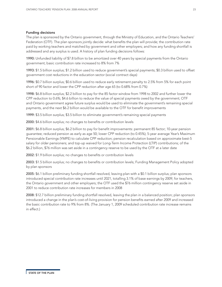### Funding decisions

The plan is sponsored by the Ontario government, through the Ministry of Education, and the Ontario Teachers' Federation (OTF). The plan sponsors jointly decide: what benefits the plan will provide; the contribution rate paid by working teachers and matched by government and other employers; and how any funding shortfall is addressed and any surplus is used. A history of plan funding decisions follows:

1990: Unfunded liability of \$7.8 billion to be amortized over 40 years by special payments from the Ontario government; basic contribution rate increased to 8% from 7%

1993: \$1.5 billion surplus; \$1.2 billion used to reduce government's special payments; \$0.3 billion used to offset government cost reductions in the education sector (social contract days)

1996: \$0.7 billion surplus; \$0.6 billion used to reduce early retirement penalty to 2.5% from 5% for each point short of 90 factor and lower the CPP reduction after age 65 (to 0.68% from 0.7%)

1998: \$6.8 billion surplus; \$2.2 billion to pay for the 85 factor window from 1998 to 2002 and further lower the CPP reduction to 0.6%; \$4.6 billion to reduce the value of special payments owed by the government; OTF and Ontario government agree future surplus would be used to eliminate the government's remaining special payments, and the next \$6.2 billion would be available to the OTF for benefit improvements

1999: \$3.5 billion surplus; \$3.5 billion to eliminate government's remaining special payments

2000: \$4.6 billion surplus; no changes to benefits or contribution levels

2001: \$6.8 billion surplus; \$6.2 billion to pay for benefit improvements: permanent 85 factor; 10-year pension guarantee; reduced pension as early as age 50; lower CPP reduction (to 0.45%); 5-year average Year's Maximum Pensionable Earnings (YMPE) to calculate CPP reduction; pension recalculation based on approximate best-5 salary for older pensioners; and top-up waived for Long-Term Income Protection (LTIP) contributions; of the \$6.2 billion, \$76 million was set aside in a contingency reserve to be used by the OTF at a later date

2002: \$1.9 billion surplus; no changes to benefits or contribution levels

2003: \$1.5 billion surplus; no changes to benefits or contribution levels; Funding Management Policy adopted by plan sponsors

2005: \$6.1 billion preliminary funding shortfall resolved, leaving plan with a \$0.1 billion surplus; plan sponsors introduced special contribution rate increases until 2021, totalling 3.1% of base earnings by 2009, for teachers, the Ontario government and other employers; the OTF used the \$76 million contingency reserve set aside in 2001 to reduce contribution rate increases for members in 2008

2008: \$12.7 billion preliminary funding shortfall resolved, leaving the plan in a balanced position; plan sponsors introduced a change in the plan's cost-of-living provision for pension benefits earned after 2009 and increased the basic contribution rate to 9% from 8%. (The January 1, 2009 scheduled contribution rate increase remains in effect.)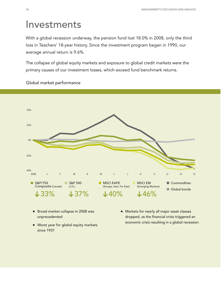# Investments

With a global recession underway, the pension fund lost 18.0% in 2008, only the third loss in Teachers' 18-year history. Since the investment program began in 1990, our average annual return is 9.6%.

The collapse of global equity markets and exposure to global credit markets were the primary causes of our investment losses, which exceed fund benchmark returns.



Global market performance

- Broad market collapse in 2008 was unprecedented
- Worst year for global equity markets since 1931
- Markets for nearly all major asset classes dropped, as the financial crisis triggered an economic crisis resulting in a global recession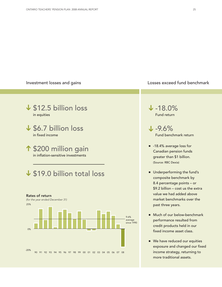### Investment losses and gains **Investment losses** and gains **Losses** exceed fund benchmark

# \$12.5 billion loss **➔** in equities \$6.7 billion loss **➔** in fixed income \$200 million gain **➔** in inflation-sensitive investments

# \$19.0 billion total loss **➔**



-18.0% **➔** Fund return

-9.6% **➔** Fund benchmark return

- -18.4% average loss for Canadian pension funds greater than \$1 billion. (Source: RBC Dexia)
- Underperforming the fund's composite benchmark by 8.4 percentage points – or \$9.2 billion – cost us the extra value we had added above market benchmarks over the past three years.
- Much of our below-benchmark performance resulted from credit products held in our fixed income asset class.
- We have reduced our equities exposure and changed our fixed income strategy, returning to more traditional assets.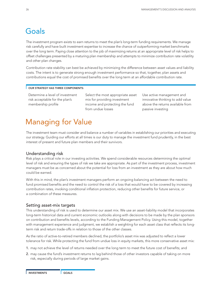# Goals

The investment program exists to earn returns to meet the plan's long-term funding requirements. We manage risk carefully and have built investment expertise to increase the chance of outperforming market benchmarks over the long term. Paying close attention to the job of maximizing returns at an appropriate level of risk helps to offset challenges presented by a maturing plan membership and attempts to minimize contribution rate volatility and other plan changes.

Contribution rate stability can best be achieved by minimizing the difference between asset values and liability costs. The intent is to generate strong enough investment performance so that, together, plan assets and contributions equal the cost of promised benefits over the long term at an affordable contribution rate.

### OUR STRATEGY HAS THREE COMPONENTS:

Determine a level of investment risk acceptable for the plan's membership profile

Select the most appropriate asset mix for providing investment income and protecting the fund from undue losses

Use active management and innovative thinking to add value above the returns available from passive investing

# Managing for Value

The investment team must consider and balance a number of variables in establishing our priorities and executing our strategy. Guiding our efforts at all times is our duty to manage the investment fund prudently, in the best interest of present and future plan members and their survivors.

### Understanding risk

Risk plays a critical role in our investing activities. We spend considerable resources determining the optimal level of risk and ensuring the types of risk we take are appropriate. As part of the investment process, investment managers must be as concerned about the potential for loss from an investment as they are about how much could be earned.

With this in mind, the plan's investment managers perform an ongoing balancing act between the need to fund promised benefits and the need to control the risk of a loss that would have to be covered by increasing contribution rates, invoking conditional inflation protection, reducing other benefits for future service, or a combination of these measures.

### Setting asset-mix targets

This understanding of risk is used to determine our asset mix. We use an asset-liability model that incorporates long-term historical data and current economic outlooks along with decisions to be made by the plan sponsors on contribution and benefits levels, according to the Funding Management Policy. Using this model, together with management experience and judgment, we establish a weighting for each asset class that reflects its longterm risk and return trade-offs in relation to those of the other classes.

As the ratio of active-to-retired members declined, the portfolio's asset mix was adjusted to reflect a lower tolerance for risk. While protecting the fund from undue loss in equity markets, this more conservative asset mix:

- 1. may not achieve the level of returns needed over the long term to meet the future cost of benefits; and
- 2. may cause the fund's investment returns to lag behind those of other investors capable of taking on more risk, especially during periods of large market gains.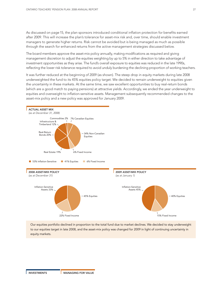As discussed on page 15, the plan sponsors introduced conditional inflation protection for benefits earned after 2009. This will increase the plan's tolerance for asset-mix risk and, over time, should enable investment managers to generate higher returns. Risk cannot be avoided but is being managed as much as possible through the search for enhanced returns from the active management strategies discussed below.

The board members approve the asset-mix policy annually, making modifications as required and giving management discretion to adjust the equities weighting by up to 5% in either direction to take advantage of investment opportunities as they arise. The fund's overall exposure to equities was reduced in the late 1990s, reflecting the lower risk tolerance required to avoid unduly burdening the declining proportion of working teachers.

It was further reduced at the beginning of 2009 (as shown). The steep drop in equity markets during late 2008 underweighted the fund to its 45% equities policy target. We decided to remain underweight to equities given the uncertainty in these markets. At the same time, we saw excellent opportunities to buy real-return bonds (which are a good match to paying pensions) at attractive yields. Accordingly, we ended the year underweight to equities and overweight to inflation-sensitive assets. Management subsequently recommended changes to the asset-mix policy and a new policy was approved for January 2009.



Our equities portfolio declined in proportion to the total fund due to market declines. We decided to stay underweight to our equities target in late 2008, and the asset-mix policy was changed for 2009 in light of continuing uncertainty in equity markets.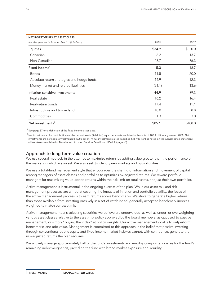| NET INVESTMENTS BY ASSET CLASS                 |        |         |
|------------------------------------------------|--------|---------|
| (for the year ended December 31) (\$ billions) | 2008   | 2007    |
| Equities                                       | \$34.9 | \$50.0  |
| Canadian                                       | 6.2    | 13.7    |
| Non-Canadian                                   | 28.7   | 36.3    |
| Fixed income <sup>1</sup>                      | 5.3    | 18.7    |
| <b>Bonds</b>                                   | 11.5   | 20.0    |
| Absolute return strategies and hedge funds     | 14.9   | 12.3    |
| Money market and related liabilities           | (21.1) | (13.6)  |
| Inflation-sensitive investments                | 44.9   | 39.3    |
| Real estate                                    | 16.2   | 16.4    |
| Real-return bonds                              | 17.4   | 11.1    |
| Infrastructure and timberland                  | 10.0   | 8.8     |
| Commodities                                    | 1.3    | 3.0     |
| Net investments <sup>2</sup>                   | \$85.1 | \$108.0 |

 $<sup>1</sup>$  See page 37 for a definition of the fixed income asset class.</sup>

 $^2$  Net investments plus contributions and other net assets (liabilities) equal net assets available for benefits of \$87.4 billion at year-end 2008. Net investments are defined as investments (\$132.0 billion) minus investment-related liabilities (\$46.9 billion) as noted on the Consolidated Statement of Net Assets Available for Benefits and Accrued Pension Benefits and Deficit (page 66).

### Approach to long-term value creation

We use several methods in the attempt to maximize returns by adding value greater than the performance of the markets in which we invest. We also seek to identify new markets and opportunities.

We use a total-fund management style that encourages the sharing of information and movement of capital among managers of asset classes and portfolios to optimize risk-adjusted returns. We reward portfolio managers for maximizing value-added returns within the risk limit on total assets, not just their own portfolios.

Active management is instrumental in the ongoing success of the plan. While our asset mix and risk management processes are aimed at covering the impacts of inflation and portfolio volatility, the focus of the active management process is to earn returns above benchmarks. We strive to generate higher returns than those available from investing passively in a set of established, generally accepted benchmark indexes weighted to match our asset mix.

Active management means selecting securities we believe are undervalued, as well as under- or overweighting various asset classes relative to the asset-mix policy approved by the board members, as opposed to passive management, or simply "buying the index" at policy weights. Our active management goal is to outperform benchmarks and add value. Management is committed to this approach in the belief that passive investing through conventional public equity and fixed income market indexes cannot, with confidence, generate the risk-adjusted returns the plan requires.

We actively manage approximately half of the fund's investments and employ composite indexes for the fund's remaining index weightings, providing the fund with broad market exposure and liquidity.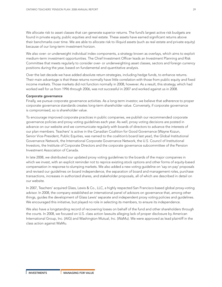We allocate risk to asset classes that can generate superior returns. The fund's largest active risk budgets are found in private equity, public equities and real estate. These assets have earned significant returns above their benchmarks over time. We are able to allocate risk to illiquid assets (such as real estate and private equity) because of our long-term investment horizon.

We also over- or underweight individual index components, a strategy known as overlays, which aims to exploit medium-term investment opportunities. The Chief Investment Officer leads an Investment Planning and Risk Committee that meets regularly to consider over- or underweighting asset classes, sectors and foreign currency positions during the year, based on fundamental and quantitative analysis.

Over the last decade we have added absolute return strategies, including hedge funds, to enhance returns. Their main advantage is that these returns normally have little correlation with those from public equity and fixed income markets. Those markets did not function normally in 2008, however. As a result, this strategy, which had worked well for us from 1996 through 2006, was not successful in 2007 and worked against us in 2008.

### Corporate governance

Finally, we pursue corporate governance activities. As a long-term investor, we believe that adherence to proper corporate governance standards creates long-term shareholder value. Conversely, if corporate governance is compromised, so is shareholder value.

To encourage improved corporate practices in public companies, we publish our recommended corporate governance policies and proxy voting guidelines each year. As well, proxy voting decisions are posted in advance on our website and we communicate regularly with boards of directors to advance the interests of our plan members. Teachers' is active in the Canadian Coalition for Good Governance (Wayne Kozun, Senior Vice-President, Public Equities, was named to the coalition's board last year), the Global Institutional Governance Network, the International Corporate Governance Network, the U.S. Council of Institutional Investors, the Institute of Corporate Directors and the corporate governance subcommittee of the Pension Investment Association of Canada.

In late 2008, we distributed our updated proxy voting guidelines to the boards of the major companies in which we invest, with an explicit reminder not to reprice existing stock options and other forms of equity-based compensation in response to slumping markets. We also added a new voting guideline on 'say on pay' proposals and revised our guidelines on board independence, the separation of board and management roles, purchase transactions, increases in authorized shares, and stakeholder proposals, all of which are described in detail on our website.

In 2007, Teachers' acquired Glass, Lewis & Co., LLC, a highly respected San Francisco-based global proxy-voting advisor. In 2008, the company established an international panel of advisors on governance that, among other things, guides the development of Glass Lewis' separate and independent proxy voting policies and guidelines. We encouraged this initiative, but played no role in selecting its members, to ensure its independence.

We also have a longstanding record of recovering losses on behalf of the fund and other shareholders through the courts. In 2008, we focused on U.S. class action lawsuits alleging lack of proper disclosure by American International Group, Inc. (AIG) and Washington Mutual, Inc. (WaMu). We were approved as lead plaintiff in the class action against WaMu.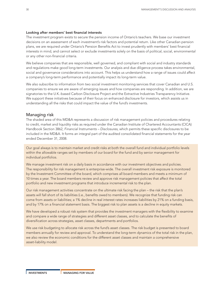### Looking after members' best financial interests

The investment program exists to secure the pension income of Ontario's teachers. We base our investment decisions on an assessment of each investment's risk factors and potential return. Like other Canadian pension plans, we are required under Ontario's Pension Benefits Act to invest prudently with members' best financial interests in mind, and cannot select or exclude investments solely on the basis of political, social, environmental or any other non-financial criteria.

We believe companies that are responsible, well governed, and compliant with social and industry standards and regulations make good long-term investments. Our analysis and due diligence process takes environmental, social and governance considerations into account. This helps us understand how a range of issues could affect a company's long-term performance and potentially impact its long-term value.

We also subscribe to information from two social investment monitoring services that cover Canadian and U.S. companies to ensure we are aware of emerging issues and how companies are responding. In addition, we are signatories to the U.K.-based Carbon Disclosure Project and the Extractive Industries Transparency Initiative. We support these initiatives because of their focus on enhanced disclosure for investors, which assists us in understanding all the risks that could impact the value of the fund's investments.

### Managing risk

The shaded area of this MD&A represents a discussion of risk management policies and procedures relating to credit, market and liquidity risks as required under the Canadian Institute of Chartered Accountants (CICA) Handbook Section 3862, *Financial Instruments – Disclosures*, which permits these specific disclosures to be included in the MD&A. It forms an integral part of the audited consolidated financial statements for the year ended December 31, 2008.

Our goal always is to maintain market and credit risks at both the overall fund and individual portfolio levels within the allowable ranges set by members of our board for the fund and by senior management for individual portfolios.

We manage investment risk on a daily basis in accordance with our investment objectives and policies. The responsibility for risk management is enterprise-wide. The overall investment risk exposure is monitored by the Investment Committee of the board, which comprises all board members and meets a minimum of 10 times a year. The board members review and approve risk management policies that affect the total portfolio and new investment programs that introduce incremental risk to the plan.

Our risk management activities concentrate on the ultimate risk facing the plan – the risk that the plan's assets will fall short of its liabilities (i.e., benefits owed to members). We recognize that funding risk can come from assets or liabilities; a 1% decline in real interest rates increases liabilities by 21% on a funding basis, and by 17% on a financial statement basis. The biggest risk to plan assets is a decline in equity markets.

We have developed a robust risk system that provides the investment managers with the flexibility to examine and compare a wide range of strategies and different asset classes, and to calculate the benefits of diversification across strategies, asset classes, departments and portfolios.

We use risk budgeting to allocate risk across the fund's asset classes. The risk budget is presented to board members annually for review and approval. To understand the long-term dynamics of the total risk in the plan, we also review the economic conditions for the different asset classes and maintain a comprehensive asset-liability model.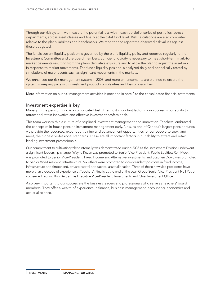Through our risk system, we measure the potential loss within each portfolio, series of portfolios, across departments, across asset classes and finally at the total fund level. Risk calculations are also computed relative to the plan's liabilities and benchmarks. We monitor and report the observed risk values against those budgeted.

The fund's current liquidity position is governed by the plan's liquidity policy and reported regularly to the Investment Committee and the board members. Sufficient liquidity is necessary to meet short-term mark-tomarket payments resulting from the plan's derivative exposure and to allow the plan to adjust the asset mix in response to market movements. The fund's liquidity position is analyzed daily and periodically tested by simulations of major events such as significant movements in the markets.

We enhanced our risk management system in 2008, and more enhancements are planned to ensure the system is keeping pace with investment product complexities and loss probabilities.

More information on our risk management activities is provided in note 2 to the consolidated financial statements.

### Investment expertise is key

Managing the pension fund is a complicated task. The most important factor in our success is our ability to attract and retain innovative and effective investment professionals.

This team works within a culture of disciplined investment management and innovation. Teachers' embraced the concept of in-house pension investment management early. Now, as one of Canada's largest pension funds, we provide the resources, expanded training and advancement opportunities for our people to seek, and meet, the highest professional standards. These are all important factors in our ability to attract and retain leading investment professionals.

Our commitment to cultivating talent internally was demonstrated during 2008 as the Investment Division underwent a significant leadership change: Wayne Kozun was promoted to Senior Vice-President, Public Equities; Ron Mock was promoted to Senior Vice-President, Fixed Income and Alternative Investments; and Stephen Dowd was promoted to Senior Vice-President, Infrastructure. Six others were promoted to vice-president positions in fixed income, infrastructure and timberland, private capital and tactical asset allocation. Three of these new vice-presidents have more than a decade of experience at Teachers'. Finally, at the end of the year, Group Senior Vice-President Neil Petroff succeeded retiring Bob Bertram as Executive Vice-President, Investments and Chief Investment Officer.

Also very important to our success are the business leaders and professionals who serve as Teachers' board members. They offer a wealth of experience in finance, business management, accounting, economics and actuarial science.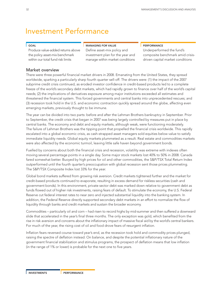# Investment Performance

### GOAL

Produce value-added returns above the policy asset-mix benchmark within our total fund risk limits

### MANAGING FOR VALUE

Define asset-mix policy and investment plan for the year and manage within market conditions

### PERFORMANCE

Underperformed the fund's composite benchmark amid crisisdriven capital market conditions

### Market overview

There were three powerful financial market drivers in 2008. Emanating from the United States, they spread worldwide, sparking a particularly sharp fourth quarter sell-off. The drivers were: (1) the impact of the 2007 subprime credit crisis continued, as eroded investor confidence in credit-based products led to a complete freeze of the world's secondary debt markets, which had rapidly grown to finance over half of the world's capital needs; (2) the implications of derivatives exposure among major institutions exceeded all estimates and threatened the financial system. This forced governments and central banks into unprecedented rescues; and (3) recession took hold in the U.S. and economic contraction quickly spread around the globe, affecting even emerging markets, previously thought to be immune.

The year can be divided into two parts: before and after the Lehman Brothers bankruptcy in September. Prior to September, the credit crisis that began in 2007 was being largely controlled by measures put in place by central banks. The economy and debt and equity markets, although weak, were functioning moderately. The failure of Lehman Brothers was the tipping point that propelled the financial crisis worldwide. This rapidly escalated into a global economic crisis, as cash-strapped asset managers sold equities below value to satisfy immediate liquidity needs. Global equity markets plummeted as a result. Real estate and commodities markets were also affected by the economic turmoil, leaving little safe haven beyond government bonds.

Fuelled by concerns about both the financial crisis and recession, volatility was extreme with indexes often moving several percentage points in a single day. Some major stock markets lost 40% to 50% in 2008. Canada fared somewhat better. Buoyed by high prices for oil and other commodities, the S&P/TSX Total Return Index outperformed until the fourth quarter's preoccupation with global recession sent those prices plummeting. The S&P/TSX Composite Index lost 33% for the year.

Global bond markets suffered from growing risk aversion. Credit markets tightened further and the market for credit-based products continued to evaporate, resulting in excess demand for riskless securities (cash and government bonds). In this environment, private sector debt was marked down relative to government debt as funds flowed out of higher risk investments, raising fears of default. To stimulate the economy, the U.S. Federal Reserve cut federal interest rates to near zero and injected substantial liquidity into the banking system. In addition, the Federal Reserve directly supported secondary debt markets in an effort to normalize the flow of liquidity through banks and credit markets and sustain the broader economy.

Commodities – particularly oil and corn – had risen to record highs by mid-summer and then suffered a downward slide that accelerated in the year's final three months. The only exception was gold, which benefited from the rise in risk aversion and concerns about the inflationary impact of massive fiscal aid by the world's central bankers. For much of the year, the rising cost of oil and food drove fears of resurgent inflation.

Inflation fears reversed course toward year's end, as the recession took hold and commodity prices plunged, raising the spectre of deflation instead. On balance, and despite the potential inflationary nature of the government financial stabilization and stimulus programs, the prospect of deflation means that low inflation (in the range of 1% or lower) is probable for the next one to five years.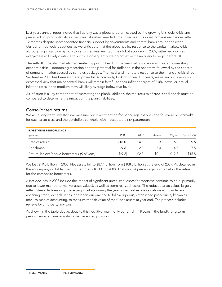Last year's annual report noted that liquidity was a global problem caused by the growing U.S. debt crisis and predicted ongoing volatility as the financial system needed time to recover. This view remains unchanged after 12 months despite unprecedented financial support by governments and central banks around the world. Our current outlook is cautious, as we anticipate that the global policy response to the capital markets crisis – although significant – may not stop a further weakening of the global economy in 2009; rather, economies everywhere will likely continue to shrink. Consequently, we do not expect a recovery to begin before 2010.

The sell-off in capital markets has created opportunities, but the financial crisis has also created some sharp economic risks – deepening recession and the potential for deflation in the near term followed by the spectre of rampant inflation caused by stimulus packages. The fiscal and monetary response to the financial crisis since September 2008 has been swift and powerful. Accordingly, looking forward 10 years, we retain our previously expressed view that major central banks will remain faithful to their inflation target of 2.0%; however, actual inflation rates in the medium term will likely average below that level.

As inflation is a key component of estimating the plan's liabilities, the real returns of stocks and bonds must be compared to determine the impact on the plan's liabilities.

### Consolidated returns

We are a long-term investor. We measure our investment performance against one- and four-year benchmarks for each asset class and the portfolio as a whole within acceptable risk parameters.

| <b>INVESTMENT PERFORMANCE</b>                |         |       |        |         |                   |
|----------------------------------------------|---------|-------|--------|---------|-------------------|
| (percent)                                    | 2008    | 2007  | 4-vear | 10-vear | <b>Since 1990</b> |
| Rate of return                               | $-18.0$ | 4.5   | 3.3    | 6.6     | 9.6               |
| Benchmark                                    | -9.6    | 2.3   | 3.4    | 4.8     | 7.5               |
| Return (below)/above benchmark (\$ billions) | \$(9.2) | \$2.3 | \$0.1  | \$12.3  | \$15.8            |

We lost \$19.0 billion in 2008. Net assets fell to \$87.4 billion from \$108.5 billion at the end of 2007. As detailed in the accompanying table, the fund returned -18.0% for 2008. That was 8.4 percentage points below the return for the composite benchmark.

Asset declines in 2008 include the impact of significant unrealized losses for assets we continue to hold (primarily due to lower marked-to-market asset values), as well as some realized losses. The reduced asset values largely reflect steep declines in global equity markets during the year, lower real estate valuations worldwide, and widening credit spreads. It has long been our practice to follow rigorous, established procedures, known as mark-to-market accounting, to measure the fair value of the fund's assets at year end. The process includes reviews by third-party advisors.

As shown in the table above, despite this negative year – only our third in 18 years – the fund's long-term performance remains in a strong value-added position.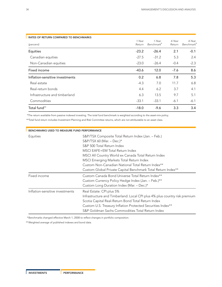| <b>RATES OF RETURN COMPARED TO BENCHMARKS</b> |         |                        |        |                        |
|-----------------------------------------------|---------|------------------------|--------|------------------------|
|                                               | 1-Year  | 1-Year                 | 4-Year | 4-Year                 |
| (percent)                                     | Return  | Benchmark <sup>*</sup> | Return | Benchmark <sup>*</sup> |
| Equities                                      | $-23.2$ | $-26.4$                | 2.1    | $-0.1$                 |
| Canadian equities                             | $-27.5$ | $-31.2$                | 5.3    | 2.4                    |
| Non-Canadian equities                         | $-23.0$ | $-26.4$                | $-0.4$ | $-2.3$                 |
| Fixed income                                  | $-43.6$ | 12.0                   | $-7.6$ | 8.6                    |
| Inflation-sensitive investments               | 0.2     | 6.8                    | 7.8    | 5.3                    |
| Real estate                                   | $-4.3$  | 7.0                    | 11.7   | 6.8                    |
| Real-return bonds                             | 4.4     | 6.2                    | 3.7    | 4.1                    |
| Infrastructure and timberland                 | 6.3     | 13.5                   | 9.7    | 5.1                    |
| Commodities                                   | $-33.1$ | $-33.1$                | $-6.1$ | $-6.1$                 |
| Total fund**                                  | $-18.0$ | $-9.6$                 | 3.3    | 3.4                    |

\*The return available from passive indexed investing. The total fund benchmark is weighted according to the asset-mix policy.

\*\*Total fund return includes Investment Planning and Risk Committee returns, which are not attributable to an asset class.

| BENCHMARKS USED TO MEASURE FUND PERFORMANCE |                                                                                                                                                                                                                                                                                                                                                                            |
|---------------------------------------------|----------------------------------------------------------------------------------------------------------------------------------------------------------------------------------------------------------------------------------------------------------------------------------------------------------------------------------------------------------------------------|
| Equities                                    | S&P/TSX Composite Total Return Index (Jan. – Feb.)<br>S&P/TSX 60 (Mar. $-$ Dec.)*<br>S&P 500 Total Return Index<br>MSCI EAFE+EM Total Return Index<br>MSCI All Country World ex Canada Total Return Index<br>MSCI Emerging Markets Total Return Index<br>Custom Non-Canadian National Total Return Index**<br>Custom Global Private Capital Benchmark Total Return Index** |
| Fixed income                                | Custom Canada Bond Universe Total Return Index**<br>Custom Currency Policy Hedge Index (Jan. – Feb.)**<br>Custom Long Duration Index (Mar. - Dec.)*                                                                                                                                                                                                                        |
| Inflation-sensitive investments             | Real Estate: CPI plus 5%<br>Infrastructure and Timberland: Local CPI plus 4% plus country risk premium<br>Scotia Capital Real-Return Bond Total Return Index<br>Custom U.S. Treasury Inflation Protected Securities Index**<br>S&P Goldman Sachs Commodities Total Return Index                                                                                            |

\*Benchmarks changed effective March 1, 2008 to reflect changes in portfolio composition.

\*\*Weighted average of published indexes and bond data.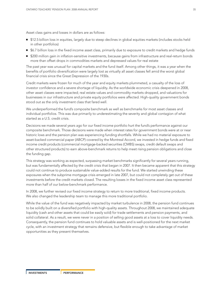Asset class gains and losses in dollars are as follows:

- \$12.5 billion loss in equities, largely due to steep declines in global equities markets (includes stocks held in other portfolios)
- \$6.7 billion loss in the fixed income asset class, primarily due to exposure to credit markets and hedge funds
- \$200 million gain in inflation-sensitive investments, because gains from infrastructure and real-return bonds more than offset drops in commodities markets and depressed values for real estate

The past year was unusual for capital markets and the fund itself. Among other things, it was a year when the benefits of portfolio diversification were largely lost as virtually all asset classes fell amid the worst global financial crisis since the Great Depression of the 1930s.

Credit markets were frozen for much of the year and equity markets plummeted, a casualty of the loss of investor confidence and a severe shortage of liquidity. As the worldwide economic crisis deepened in 2008, other asset classes were impacted; real estate values and commodity markets dropped, and valuations for businesses in our infrastructure and private equity portfolios were affected. High-quality government bonds stood out as the only investment class that fared well.

We underperformed the fund's composite benchmark as well as benchmarks for most asset classes and individual portfolios. This was due primarily to underestimating the severity and global contagion of what started as a U.S. credit crisis.

Decisions we made several years ago for our fixed income portfolio hurt the fund's performance against our composite benchmark. Those decisions were made when interest rates for government bonds were at or near historic lows and the pension plan was experiencing funding shortfalls. While we had no material exposure to asset-backed commercial paper (ABCP) covered by the Montreal Accord, we invested in hedge funds and fixed income credit products (commercial mortgage-backed securities (CMBS) swaps, credit default swaps and other structured products) to earn above-benchmark returns to help meet rising pension obligations and close the funding gap.

This strategy was working as expected, surpassing market benchmarks significantly for several years running, but was fundamentally affected by the credit crisis that began in 2007. It then became apparent that this strategy could not continue to produce sustainable value-added results for the fund. We started unwinding these exposures when the subprime mortgage crisis emerged in late 2007, but could not completely get out of these investments before the credit markets closed. The resulting losses in the fixed income asset class represented more than half of our below-benchmark performance.

In 2008, we further revised our fixed income strategy to return to more traditional, fixed income products. We also changed the leadership team to manage this more traditional portfolio.

While the value of the fund was negatively impacted by market turbulence in 2008, the pension fund continues to be solidly built on a diversified portfolio with high-quality assets. Throughout 2008, we maintained adequate liquidity (cash and other assets that could be easily sold) for trade settlements and pension payments, and solid collateral. As a result, we were never in a position of selling good assets at a loss to cover liquidity needs. Consequently, the pension fund continues to hold valuable assets and is well-positioned for the next market cycle, with an investment strategy that remains defensive, but flexible enough to take advantage of market opportunities as they present themselves.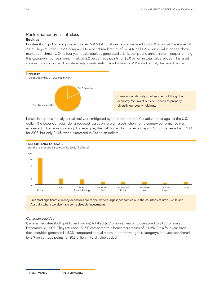### Performance by asset class Equities

Equities (both public and private) totalled \$34.9 billion at year end compared to \$50.0 billion at December 31, 2007. They returned -23.2% compared to a benchmark return of -26.4%, or \$1.2 billion in value added above market benchmarks. On a four-year basis, equities generated a 2.1% compound annual return, outperforming this category's four-year benchmark by 2.2 percentage points for \$3.0 billion in total value added. This asset class includes public and private equity investments made by Teachers' Private Capital, discussed below.



Losses in equities (mostly unrealized) were mitigated by the decline of the Canadian dollar against the U.S. dollar. The lower Canadian dollar reduced losses on foreign assets when home country performance was expressed in Canadian currency. For example, the S&P 500 – which reflects major U.S. companies – lost 37.0% for 2008, but only 21.2% when expressed in Canadian dollars.



Our most significant currency exposures are to the world's largest economies plus the countries of Brazil, Chile and Australia where we also have some sizeable investments.

### *Canadian equities*

Canadian equities (both public and private) totalled \$6.2 billion at year end compared to \$13.7 billion at December 31, 2007. They returned -27.5% compared to a benchmark return of -31.2%. On a four-year basis, these equities generated a 5.3% compound annual return, outperforming this category's four-year benchmark by 2.9 percentage points for \$0.8 billion in total value added.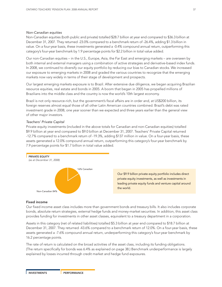### *Non-Canadian equities*

Non-Canadian equities (both public and private) totalled \$28.7 billion at year end compared to \$36.3 billion at December 31, 2007. They returned -23.0% compared to a benchmark return of -26.4%, adding \$1.3 billion in value. On a four-year basis, these investments generated a -0.4% compound annual return, outperforming this category's four-year benchmark by 1.9 percentage points for \$2.2 billion in total value added.

Our non-Canadian equities – in the U.S., Europe, Asia, the Far East and emerging markets – are overseen by both internal and external managers using a combination of active strategies and derivative-based index funds. In 2008, we continued to diversify our equity portfolio by reducing our bias to Canadian stocks. We increased our exposure to emerging markets in 2008 and graded the various countries to recognize that the emerging markets now vary widely in terms of their stage of development and prospects.

Our largest emerging markets exposure is to Brazil. After extensive due diligence, we began acquiring Brazilian resource equities, real estate and bonds in 2005. A boom that began in 2005 has propelled millions of Brazilians into the middle class and the country is now the world's 10th largest economy.

Brazil is not only resource-rich, but the government's fiscal affairs are in order and, at US\$200 billion, its foreign reserves almost equal those of all other Latin American countries combined. Brazil's debt was rated investment grade in 2008, one year sooner than we expected and three years earlier than the general view of other major investors.

### *Teachers' Private Capital*

Private equity investments (included in the above totals for Canadian and non-Canadian equities) totalled \$9.9 billion at year end compared to \$9.0 billion at December 31, 2007. Teachers' Private Capital returned -12.7% compared to a benchmark return of -19.3%, adding \$137 million in value. On a four-year basis, these assets generated a 12.0% compound annual return, outperforming this category's four-year benchmark by 7.9 percentage points for \$1.7 billion in total value added.



### Fixed income

Our fixed income asset class includes more than government bonds and treasury bills. It also includes corporate bonds, absolute return strategies, external hedge funds and money-market securities. In addition, this asset class provides funding for investments in other asset classes, equivalent to a treasury department in a corporation.

Assets in this category (net of related liabilities) totalled \$5.3 billion at year end compared to \$18.7 billion at December 31, 2007. They returned -43.6% compared to a benchmark return of 12.0%. On a four-year basis, these assets generated a -7.6% compound annual return, underperforming this category's four-year benchmark by 16.2 percentage points.

The rate of return is calculated on the broad activities of the asset class, including its funding obligations. (The return specifically for bonds was 6.4% as explained on page 38.) Benchmark underperformance is largely explained by losses incurred through credit market and hedge fund exposures.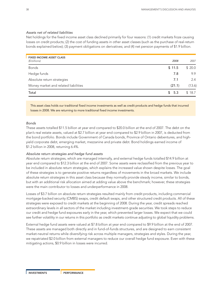### *Assets net of related liabilities*

Net holdings for the fixed income asset class declined primarily for four reasons: (1) credit markets froze causing losses on credit products; (2) the cost of funding assets in other asset classes (such as the purchase of real-return bonds explained below); (3) payment obligations on derivatives; and (4) net pension payments of \$1.9 billion.

| <b>FIXED INCOME ASSET CLASS</b>      |        |        |
|--------------------------------------|--------|--------|
| (\$ billions)                        | 2008   | 2007   |
| <b>Bonds</b>                         | \$11.5 | \$20.0 |
| Hedge funds                          | 7.8    | 9.9    |
| Absolute return strategies           | 7.1    | 2.4    |
| Money market and related liabilities | (21.1) | (13.6) |
| Total                                | \$5.3  | \$18.7 |

This asset class holds our traditional fixed income investments as well as credit products and hedge funds that incurred losses in 2008. We are returning to more traditional fixed income investments.

### *Bonds*

These assets totalled \$11.5 billion at year end compared to \$20.0 billion at the end of 2007. The debt on the plan's real estate assets, valued at \$2.7 billion at year end compared to \$2.9 billion in 2007, is deducted from the bond portfolio. Bonds include Government of Canada bonds, Province of Ontario debentures, and highyield corporate debt, emerging market, mezzanine and private debt. Bond holdings earned income of \$1.2 billion in 2008, returning 6.4%.

### *Absolute return strategies and hedge fund assets*

Absolute return strategies, which are managed internally, and external hedge funds totalled \$14.9 billion at year end compared to \$12.3 billion at the end of 2007. Some assets were reclassified from the previous year to be included in absolute return strategies, which explains the increased value shown despite losses. The goal of these strategies is to generate positive returns regardless of movements in the broad markets. We include absolute return strategies in this asset class because they *normally* provide steady income, similar to bonds, but with an additional risk allocation aimed at adding value above the benchmark; however, these strategies were the main contributor to losses and underperformance in 2008.

Losses of \$3.7 billion on absolute return strategies resulted mainly from credit products, including commercial mortgage-backed security (CMBS) swaps, credit default swaps, and other structured credit products. All of these strategies were exposed to credit markets at the beginning of 2008. During the year, credit spreads reached extraordinary levels in all sectors of the market including investment-grade securities. We took steps to reduce our credit and hedge fund exposures early in the year, which prevented larger losses. We expect that we could see further volatility in our returns in this portfolio as credit markets continue adjusting to global liquidity problems.

External hedge fund assets were valued at \$7.8 billion at year end compared to \$9.9 billion at the end of 2007. These assets are managed both directly and in fund-of-funds structures, and are designed to earn consistent market-neutral returns while diversifying risk across multiple managers, strategies and styles. During the year, we repatriated \$2.0 billion from external managers to reduce our overall hedge fund exposure. Even with these mitigating actions, \$0.9 billion in losses were incurred.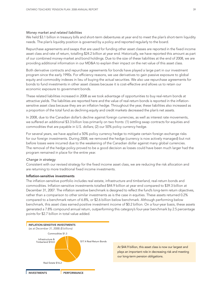### *Money market and related liabilities*

We held \$3.1 billion in treasury bills and short-term debentures at year end to meet the plan's short-term liquidity needs. The plan's liquidity position is governed by a policy and reported regularly to the board.

Repurchase agreements and swaps that are used for funding other asset classes are reported in the fixed income asset class and rate of return, totalling \$24.2 billion at year end. Historically, we have reported this amount as part of our combined money-market and bond holdings. Due to the size of these liabilities at the end of 2008, we are providing additional information in our MD&A to explain their impact on the net value of this asset class.

Both derivative contracts and repurchase agreements for bonds have played a large part in our investment program since the early 1990s. For efficiency reasons, we use derivatives to gain passive exposure to global equity and commodity indexes in lieu of buying the actual securities. We also use repurchase agreements for bonds to fund investments in other asset classes because it is cost-effective and allows us to retain our economic exposure to government bonds.

These related liabilities increased in 2008 as we took advantage of opportunities to buy real-return bonds at attractive yields. The liabilities are reported here and the value of real-return bonds is reported in the inflationsensitive asset class because they are an inflation hedge. Throughout the year, these liabilities also increased as a proportion of the total fund as declining equity and credit markets decreased the plan's net assets.

In 2008, due to the Canadian dollar's decline against foreign currencies, as well as interest rate movements, we suffered an additional \$3.3 billion loss primarily on two fronts: (1) settling swap contracts for equities and commodities that are payable in U.S. dollars; (2) our 50% policy currency hedge.

For several years, we have applied a 50% policy currency hedge to mitigate certain foreign exchange risks for our foreign investments. During 2008, we removed the hedge (currency is now actively managed) but not before losses were incurred due to the weakening of the Canadian dollar against many global currencies. The removal of the hedge policy proved to be a good decision as losses could have been much larger had the program remained in place for the entire year.

### *Change in strategy*

Consistent with our revised strategy for the fixed income asset class, we are reducing the risk allocation and are returning to more traditional fixed income investments.

### Inflation-sensitive investments

The inflation-sensitive portfolio includes real estate, infrastructure and timberland, real-return bonds and commodities. Inflation-sensitive investments totalled \$44.9 billion at year end compared to \$39.3 billion at December 31, 2007. The inflation sensitive benchmark is designed to reflect the fund's long-term return objectives, rather than a comparison to other similar investments as is the case in equities. These assets returned 0.2% compared to a benchmark return of 6.8%, or \$2.6 billion below benchmark. Although performing below benchmark, this asset class earned positive investment income of \$0.2 billion. On a four-year basis, these assets generated a 7.8% compound annual return, outperforming this category's four-year benchmark by 2.5 percentage points for \$2.7 billion in total value added.



At \$44.9 billion, this asset class is now our largest and plays an important role in decreasing risk and meeting our long-term pension obligations.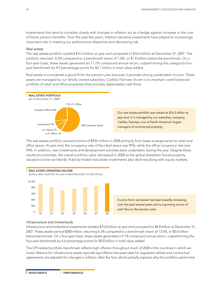Investments that tend to correlate closely with changes in inflation act as a hedge against increases in the cost of future pension benefits. Over the past few years, inflation-sensitive investments have played an increasingly important role in meeting our performance objectives and decreasing risk.

### *Real estate*

The real estate portfolio totalled \$16.2 billion at year end compared to \$16.4 billion at December 31, 2007. The portfolio returned -4.3% compared to a benchmark return of 7.0%, or \$1.8 billion below the benchmark. On a four-year basis, these assets generated an 11.7% compound annual return, outperforming this category's fouryear benchmark by 4.9 percentage points for \$2.1 billion in total value added.

Real estate is considered a good fit for the pension plan because it provides strong, predictable income. These assets are managed by our wholly owned subsidiary, Cadillac Fairview. Its aim is to maintain a well-balanced portfolio of retail and office properties that provides dependable cash flows.



The real estate portfolio earned income of \$936 million in 2008 primarily from lease arrangements for retail and office space. At year end, the occupancy rate of the retail space was 95%, while the office occupancy rate was 94%. In addition, new investments and development activities were undertaken during the year. Despite these results and activities, the overall portfolio value decreased in 2008 as the global slowdown forced property valuations lower worldwide. Publicly-traded real estate investments also declined along with equity markets.



Income from real estate has been steadily increasing over the past several years and is a growing source of cash flow to the pension plan.

### *Infrastructure and timberlands*

Infrastructure and timberland investments totalled \$10.0 billion at year end compared to \$8.8 billion at December 31, 2007. These assets earned \$580 million, returning 6.3% compared to a benchmark return of 13.5%, or \$0.6 billion below benchmark. On a four-year basis, these assets generated a 9.7% compound annual return, outperforming the four-year benchmark by 4.6 percentage points for \$0.8 billion in total value added.

The CPI-related portfolio benchmark reflects high inflation throughout much of 2008 in the countries in which we invest. Returns for infrastructure assets typically lag inflation because rates for regulated utilities and contractual agreements are adjusted for changes in inflation after the fact, which partially explains why the portfolio performed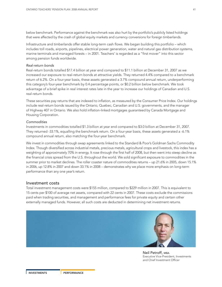below benchmark. Performance against the benchmark was also hurt by the portfolio's publicly listed holdings that were affected by the crash of global equity markets and currency conversions for foreign timberlands.

Infrastructure and timberlands offer stable long-term cash flows. We began building this portfolio – which includes toll roads, airports, pipelines, electrical power generation, water and natural gas distribution systems, marine terminals and managed forests – in 2001. Teachers' is regarded as a "first mover" into this sector among pension funds worldwide.

### *Real-return bonds*

Real-return bonds totalled \$17.4 billion at year end compared to \$11.1 billion at December 31, 2007 as we increased our exposure to real-return bonds at attractive yields. They returned 4.4% compared to a benchmark return of 6.2%. On a four-year basis, these assets generated a 3.7% compound annual return, underperforming this category's four-year benchmark by 0.4 percentage points, or \$0.2 billion below benchmark. We took advantage of a brief spike in real interest rates late in the year to increase our holdings of Canadian and U.S. real-return bonds.

These securities pay returns that are indexed to inflation, as measured by the Consumer Price Index. Our holdings include real-return bonds issued by the Ontario, Quebec, Canadian and U.S. governments, and the manager of Highway 407 in Ontario. We also hold inflation-linked mortgages guaranteed by Canada Mortgage and Housing Corporation.

### *Commodities*

Investments in commodities totalled \$1.3 billion at year end compared to \$3.0 billion at December 31, 2007. They returned -33.1%, equalling the benchmark return. On a four-year basis, these assets generated a -6.1% compound annual return, also matching the four-year benchmark.

We invest in commodities through swap agreements linked to the Standard & Poor's Goldman Sachs Commodity Index. Though diversified across industrial metals, precious metals, agricultural crops and livestock, this index has a weighting of approximately 70% in energy. It rose through the first half of 2008, but then went into steep decline as the financial crisis spread from the U.S. throughout the world. We sold significant exposure to commodities in the summer prior to market declines. The roller coaster nature of commodities returns – up 21.6% in 2005, down 15.1% in 2006, up 12.8% in 2007 and down 33.1% in 2008 – demonstrates why we place more emphasis on long-term performance than any one year's return.

### Investment costs

Total investment management costs were \$155 million, compared to \$229 million in 2007. This is equivalent to 15 cents per \$100 of average net assets, compared with 22 cents in 2007. These costs exclude the commissions paid when trading securities, and management and performance fees for private equity and certain other externally managed funds. However, all such costs are deducted in determining net investment returns.



Neil Petroff, MBA Executive Vice-President, Investments and Chief Investment Officer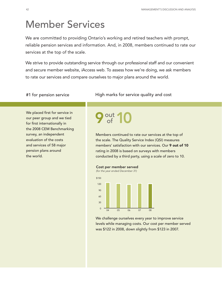# Member Services

We are committed to providing Ontario's working and retired teachers with prompt, reliable pension services and information. And, in 2008, members continued to rate our services at the top of the scale.

We strive to provide outstanding service through our professional staff and our convenient and secure member website, *i*Access web. To assess how we're doing, we ask members to rate our services and compare ourselves to major plans around the world.

We placed first for service in our peer group and we tied for first internationally in the 2008 CEM Benchmarking survey, an independent evaluation of the costs and services of 58 major pension plans around the world.

### #1 for pension service **High marks for service quality and cost**

# **9** of 10

Members continued to rate our services at the top of the scale. The Quality Service Index (QSI) measures members' satisfaction with our services. Our **9 out of 10** rating in 2008 is based on surveys with members conducted by a third party, using a scale of zero to 10.

Cost per member served

*(for the year ended December 31)*



We challenge ourselves every year to improve service levels while managing costs. Our cost per member served was \$122 in 2008, down slightly from \$123 in 2007.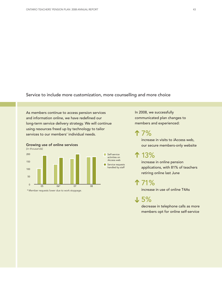Service to include more customization, more counselling and more choice

activities on *i*Access web

handled by staff

As members continue to access pension services and information online, we have redefined our long-term service delivery strategy. We will continue using resources freed up by technology to tailor services to our members' individual needs.



\* Member requests lower due to work stoppage.

Growing use of online services

In 2008, we successfully communicated plan changes to members and experienced:

7% **➔**increase in visits to *i*Access web, our secure members-only website

## 13%

increase in online pension applications, with 81% of teachers retiring online last June

71% **➔➔**

increase in use of online T4As

5% **➔**

decrease in telephone calls as more members opt for online self-service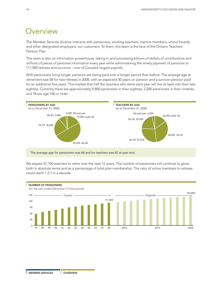# **Overview**

The Member Services division interacts with pensioners, working teachers, inactive members, school boards and other designated employers: our customers. To them, this team is the face of the Ontario Teachers' Pension Plan.

This team is also an information powerhouse, taking in and processing billions of dollars of contributions and millions of pieces of personal information every year while administering the timely payment of pensions to 111,000 retirees and survivors – one of Canada's largest payrolls.

With pensioners living longer, pensions are being paid over a longer period than before. The average age at retirement was 58 for new retirees in 2008, with an expected 30 years on pension and a survivor pension paid for an additional five years. This implies that half the teachers who retire each year will live at least into their late eighties. Currently there are approximately 9,800 pensioners in their eighties, 2,200 pensioners in their nineties, and 78 are age 100 or older.



The average age for pensioners was 68 and for teachers was 42 at year end.

We expect 57,100 teachers to retire over the next 12 years. The number of pensioners will continue to grow, both in absolute terms and as a percentage of total plan membership. The ratio of active members to retirees could reach 1.2:1 in a decade.

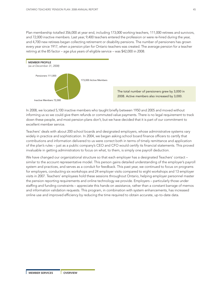Plan membership totalled 356,000 at year end, including 173,000 working teachers, 111,000 retirees and survivors, and 72,000 inactive members. Last year, 9,400 teachers entered the profession or were re-hired during the year, and 4,700 new retirees began collecting retirement or disability pensions. The number of pensioners has grown every year since 1917, when a pension plan for Ontario teachers was created. The average pension for a teacher retiring at the 85 factor – age plus years of eligible service – was \$42,000 in 2008.



In 2008, we located 5,100 inactive members who taught briefly between 1950 and 2005 and moved without informing us so we could give them refunds or commuted value payments. There is no legal requirement to track down these people, and most pension plans don't, but we have decided that it is part of our commitment to excellent member service.

Teachers' deals with about 200 school boards and designated employers, whose administrative systems vary widely in practice and sophistication. In 2004, we began asking school board finance officers to certify that contributions and information delivered to us were correct both in terms of timely remittance and application of the plan's rules – just as a public company's CEO and CFO would certify its financial statements. This proved invaluable in getting administrators to focus on what, to them, is simply one payroll deduction.

We have changed our organizational structure so that each employer has a designated Teachers' contact similar to the account representative model. This person gains detailed understanding of the employer's payroll system and practices, and serves as a conduit for feedback. This past year, we continued to focus on programs for employers, conducting six workshops and 24 employer visits compared to eight workshops and 13 employer visits in 2007. Teachers' employees hold these sessions throughout Ontario, helping employer personnel master the pension reporting requirements and online technology we provide. Employers – particularly those under staffing and funding constraints – appreciate this hands-on assistance, rather than a constant barrage of memos and information validation requests. This program, in combination with system enhancements, has increased online use and improved efficiency by reducing the time required to obtain accurate, up-to-date data.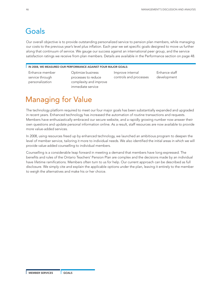# Goals

Our overall objective is to provide outstanding personalized service to pension plan members, while managing our costs to the previous year's level plus inflation. Each year we set specific goals designed to move us further along that continuum of service. We gauge our success against an international peer group, and the service satisfaction ratings we receive from plan members. Details are available in the Performance section on page 48.

### IN 2008, WE MEASURED OUR PERFORMANCE AGAINST FOUR MAJOR GOALS:

Enhance member service through personalization

Optimize business processes to reduce complexity and improve immediate service

Improve internal controls and processes Enhance staff development

# Managing for Value

The technology platform required to meet our four major goals has been substantially expanded and upgraded in recent years. Enhanced technology has increased the automation of routine transactions and requests. Members have enthusiastically embraced our secure website, and a rapidly growing number now answer their own questions and update personal information online. As a result, staff resources are now available to provide more value-added services.

In 2008, using resources freed up by enhanced technology, we launched an ambitious program to deepen the level of member service, tailoring it more to individual needs. We also identified the initial areas in which we will provide value-added counselling to individual members.

Counselling is a considerable leap forward in meeting a demand that members have long expressed. The benefits and rules of the Ontario Teachers' Pension Plan are complex and the decisions made by an individual have lifetime ramifications. Members often turn to us for help. Our current approach can be described as full disclosure. We simply cite and explain the applicable options under the plan, leaving it entirely to the member to weigh the alternatives and make his or her choice.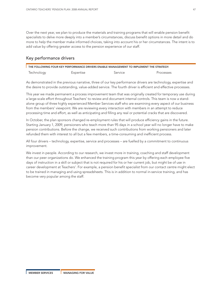Over the next year, we plan to produce the materials and training programs that will enable pension benefit specialists to delve more deeply into a member's circumstances, discuss benefit options in more detail and do more to help the member make informed choices, taking into account his or her circumstances. The intent is to add value by offering greater access to the pension experience of our staff.

### Key performance drivers

| THE FOLLOWING FOUR KEY PERFORMANCE DRIVERS ENABLE MANAGEMENT TO IMPLEMENT THE STRATEGY: |           |         |           |  |
|-----------------------------------------------------------------------------------------|-----------|---------|-----------|--|
| Technology                                                                              | Expertise | Service | Processes |  |

As demonstrated in the previous narrative, three of our key performance drivers are technology, expertise and the desire to provide outstanding, value-added service. The fourth driver is efficient and effective processes.

This year we made permanent a process improvement team that was originally created for temporary use during a large-scale effort throughout Teachers' to review and document internal controls. This team is now a standalone group of three highly experienced Member Services staff who are examining every aspect of our business from the members' viewpoint. We are reviewing every interaction with members in an attempt to reduce processing time and effort, as well as anticipating and filling any real or potential cracks that are discovered.

In October, the plan sponsors changed re-employment rules that will produce efficiency gains in the future. Starting January 1, 2009, pensioners who teach more than 95 days in a school year will no longer have to make pension contributions. Before the change, we received such contributions from working pensioners and later refunded them with interest to all but a few members, a time-consuming and inefficient process.

All four drivers – technology, expertise, service and processes – are fuelled by a commitment to continuous improvement.

We invest in people. According to our research, we invest more in training, coaching and staff development than our peer organizations do. We enhanced the training program this year by offering each employee five days of instruction in a skill or subject that is not required for his or her current job, but might be of use in career development at Teachers'. For example, a pension benefit specialist from our contact centre might elect to be trained in managing and using spreadsheets. This is in addition to normal in-service training, and has become very popular among the staff.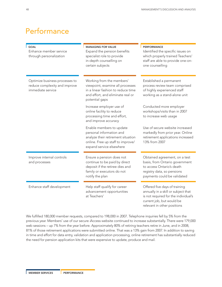# Performance

| <b>GOAL</b><br>Enhance member service<br>through personalization                     | <b>MANAGING FOR VALUE</b><br>Expand the pension benefits<br>specialist role to provide<br>in-depth counselling on<br>certain subjects                       | <b>PERFORMANCE</b><br>Identified the specific issues on<br>which properly trained Teachers'<br>staff are able to provide one-on-<br>one counselling                      |
|--------------------------------------------------------------------------------------|-------------------------------------------------------------------------------------------------------------------------------------------------------------|--------------------------------------------------------------------------------------------------------------------------------------------------------------------------|
| Optimize business processes to<br>reduce complexity and improve<br>immediate service | Working from the members'<br>viewpoint, examine all processes<br>in a linear fashion to reduce time<br>and effort, and eliminate real or<br>potential gaps  | Established a permanent<br>process review team comprised<br>of highly experienced staff<br>working as a stand-alone unit                                                 |
|                                                                                      | Increase employer use of<br>online facility to reduce<br>processing time and effort,<br>and improve accuracy                                                | Conducted more employer<br>workshops/visits than in 2007<br>to increase web usage                                                                                        |
|                                                                                      | Enable members to update<br>personal information and<br>analyze their retirement situation<br>online. Free up staff to improve/<br>expand service elsewhere | Use of secure website increased<br>markedly from prior year. Online<br>retirement applications increased<br>13% from 2007                                                |
| Improve internal controls<br>and processes                                           | Ensure a pension does not<br>continue to be paid by direct<br>deposit if the retiree dies and<br>family or executors do not<br>notify the plan              | Obtained agreement, on a test<br>basis, from Ontario government<br>to access Ontario's death<br>registry data, so pensions<br>payments could be validated                |
| Enhance staff development                                                            | Help staff qualify for career<br>advancement opportunities<br>at Teachers'                                                                                  | Offered five days of training<br>annually in a skill or subject that<br>is not required for the individual's<br>current job, but would be<br>relevant in other positions |

We fulfilled 180,000 member requests, compared to 198,000 in 2007. Telephone inquiries fell by 5% from the previous year. Members' use of our secure *i*Access website continued to increase substantially. There were 179,000 web sessions – up 7% from the year before. Approximately 80% of retiring teachers retire in June, and in 2008, 81% of those retirement applications were submitted online. That was a 13% gain from 2007. In addition to saving in time and effort for data entry, validation and application processing, online retirement has substantially reduced the need for pension application kits that were expensive to update, produce and mail.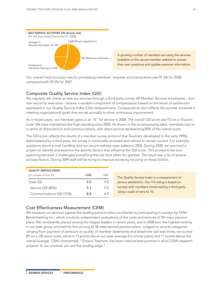

Our overall initial accuracy rate for processing members' requests and transactions was 91.5% for 2008, compared with 94.3% for 2007.

### Composite Quality Service Index (QSI)

We regularly ask clients to rate our services through a third-party survey. All Member Services employees – from new recruit to executive – receive a variable component of compensation based on the levels of satisfaction expressed in our Quality Service Index (QSI) measurements. Compensation also reflects the success achieved in meeting organizational goals that are set annually to drive continuous improvement.

As in recent years, our members gave us an "A" for service in 2008. The overall QSI score was 9.0 on a 10-point scale. We have maintained this high standing since 2005. As shown in the accompanying table, members rate us in terms of direct service and communications, with direct service representing 85% of the overall score.

The QSI score reflects the results of a member survey protocol that Teachers' developed in the early 1990s. Administered by a third party, the survey is continually reviewed and refined to remain current. For example, questions about e-mail handling and our secure website were added in 2006. During 2008, we launched a project to identify and examine the specific factors that influence the QSI score. This proved to be soulsearching because it challenged everything that we have taken for granted. The result was a list of several success factors. During 2009 staff will be trying to improve scores by focusing on these factors.

| <b>QUALITY SERVICE INDEX</b> |      |      |  |  |  |
|------------------------------|------|------|--|--|--|
| (on a scale of 0 to 10)      | 2008 | 2007 |  |  |  |
| Total OSI                    | 9 O  | 90   |  |  |  |
| Service QSI (85%)            | 9.1  | 9 O  |  |  |  |
| Communications QSI (15%)     | 88   | 8 Q  |  |  |  |

The Quality Service Index is a measurement of service satisfaction. Our 9.0 rating is based on surveys with members conducted by a third party using a scale of zero to 10.

### Cost Effectiveness Measurement (CEM)

We measure our services against the leading pension plans worldwide by participating in surveys by CEM Benchmarking Inc., which conducts independent evaluations of the costs and services of 58 major pension plans. We consistently placed among the league leaders in recent years, and in 2008 won the highest ranking in our peer group and tied for first among all 58 international pension plans. Judged on several categories ranging from payment of pensions to quality of member statements and telephone call-wait times, we scored 89 on a 100 point scale, which is 15 points above our peer average (for similar plans) and 17 points above the overall average. CEM commented, "Ontario Teachers' has been cited as best practice in all of CEM's research projects. In our universe, you are the leading edge."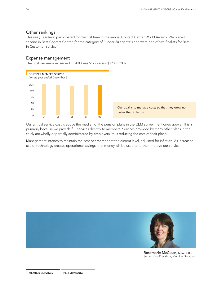### Other rankings

This year, Teachers' participated for the first time in the annual Contact Center World Awards. We placed second in Best Contact Center (for the category of "under 50 agents") and were one of five finalists for Best in Customer Service.

### Expense management

The cost per member served in 2008 was \$122 versus \$123 in 2007.



Our goal is to manage costs so that they grow no faster than inflation.

Our annual service cost is above the median of the pension plans in the CEM survey mentioned above. This is primarily because we provide full services directly to members. Services provided by many other plans in the study are wholly or partially administered by employers, thus reducing the cost of their plans.

Management intends to maintain the cost per member at the current level, adjusted for inflation. As increased use of technology creates operational savings, that money will be used to further improve our service.



Rosemarie McClean, MBA, ICD.D Senior Vice-President, Member Services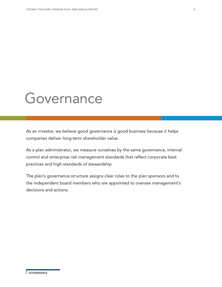# Governance

As an investor, we believe good governance is good business because it helps companies deliver long-term shareholder value.

As a plan administrator, we measure ourselves by the same governance, internal control and enterprise risk management standards that reflect corporate best practices and high standards of stewardship.

The plan's governance structure assigns clear roles to the plan sponsors and to the independent board members who are appointed to oversee management's decisions and actions.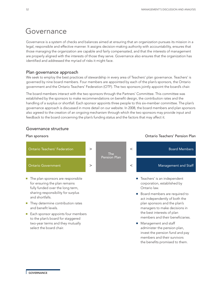# Governance

Governance is a system of checks and balances aimed at ensuring that an organization pursues its mission in a legal, responsible and effective manner. It assigns decision-making authority with accountability, ensures that those managing the organization are capable and fairly compensated, and that the interests of management are properly aligned with the interests of those they serve. Governance also ensures that the organization has identified and addressed the myriad of risks it might face.

### Plan governance approach

We seek to employ the best practices of stewardship in every area of Teachers' plan governance. Teachers' is governed by nine board members. Four members are appointed by each of the plan's sponsors, the Ontario government and the Ontario Teachers' Federation (OTF). The two sponsors jointly appoint the board's chair.

The board members interact with the two sponsors through the Partners' Committee. This committee was established by the sponsors to make recommendations on benefit design, the contribution rates and the handling of a surplus or shortfall. Each sponsor appoints three people to this six-member committee. The plan's governance approach is discussed in more detail on our website. In 2008, the board members and plan sponsors also agreed to the creation of an ongoing mechanism through which the two sponsors may provide input and feedback to the board concerning the plan's funding status and the factors that may affect it.

### Governance structure



- Board members are required to act independently of both the plan sponsors and the plan's managers to make decisions in the best interests of plan members and their beneficiaries.
- Management and staff administer the pension plan, invest the pension fund and pay members and their survivors the benefits promised to them.

sharing responsibility for surplus and shortfalls.

- They determine contribution rates and benefit levels.
- Each sponsor appoints four members to the plan's board for staggered two-year terms and they mutually select the board chair.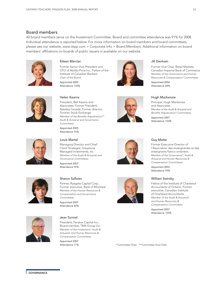### Board members

All board members serve on the Investment Committee. Board and committee attendance was 91% for 2008. Individual attendance is reported below. For more information on board members and board committees, please see our website, www.otpp.com > Corporate Info > Board Members. Additional information on board members' affiliations on boards of public issuers is available on our website.





Former Senior Vice-President and CFO of Abitibi-Price Inc.; Fellow of the Institute of Canadian Bankers *Chair of the Board* Appointed 2005 Attendance 100%



### Jill Denham

Former Vice Chair, Retail Markets, Canadian Imperial Bank of Commerce *Member of the Governance and Human Resources & Compensation\* Committees* Appointed 2006 Attendance 88%



### Helen Kearns

President, Bell Kearns and Associates; Former President, Nasdaq Canada; Former director, Toronto Stock Exchange *Member of the Benefits Adjudication,\*\* Audit & Actuarial and Governance Committees*

Appointed 2005 Attendance 93%



### Louis Martel

Managing Director and Chief Client Strategist, Greystone Managed Investments, Inc. *Member of the Audit & Actuarial and Governance Committees*

Appointed 2007 Attendance 92%



### Sharon Sallows

Partner, Ryegate Capital Corp.; Former executive, Bank of Montreal *Member of the Human Resources & Compensation and Governance Committees*

Appointed 2007 Attendance 80%



### Jean Turmel

President, Perseus Capital Inc.; Board member, TMX Group Inc. *Member of the Investment,\* Audit & Actuarial, and Human Resources & Compensation Committees* Appointed 2007

Attendance 77%







Hugh Mackenzie Principal, Hugh Mackenzie

and Associates *Member of the Audit & Actuarial and Benefits Adjudication\* Committees* Appointed 2007

Attendance 100%

### Guy Matte

Former Executive Director of l'Association des enseignantes et des enseignants franco-ontariens *Member of the Governance\*, Audit & Actuarial and Human Resources & Compensation Committees*

Attendance 94%

### William Swirsky

Fellow of the Institute of Chartered Accountants of Ontario; Former executive, Canadian Institute of Chartered Accountants *Member of the Audit & Actuarial\* and Human Resources & Compensation Committees*

Appointed 2007 Attendance 100%

\* Committee Chair \*\* Committee Vice-Chair

Appointed 2002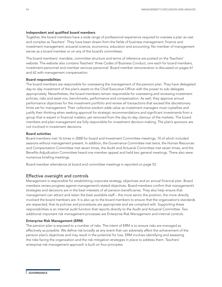### Independent and qualified board members

Together, the board members have a wide range of professional experience required to oversee a plan as vast and complex as Teachers'. They have been drawn from the fields of business management, finance and investment management, actuarial science, economics, education and accounting. No member of management serves as a board member or on any of the board's committees.

The board members' mandate, committee structure and terms of reference are posted on the Teachers' website. The website also contains Teachers' three Codes of Business Conduct, one each for board members, investment personnel and member services personnel. Board member remuneration is discussed on pages 61 and 62 with management compensation.

### Board responsibilities

The board members are responsible for overseeing the management of the pension plan. They have delegated day-to-day investment of the plan's assets to the Chief Executive Officer with the power to sub-delegate appropriately. Nevertheless, the board members remain responsible for overseeing and reviewing investment policies, risks and asset mix, benchmarks, performance and compensation. As well, they approve annual performance objectives for the investment portfolio and review all transactions that exceed the discretionary limits set for management. Their collective wisdom adds value as investment managers must crystallize and justify their thinking when seeking approval for strategic recommendations and significant investments from a group that is expert in financial matters, yet removed from the day-to-day clamour of the markets. The board members and plan management are fully responsible for investment decision-making. The plan's sponsors are not involved in investment decisions.

### Board activities

Board members met 16 times in 2008 for board and Investment Committee meetings, 10 of which included sessions without management present. In addition, the Governance Committee met twice, the Human Resources and Compensation Committee met seven times, the Audit and Actuarial Committee met seven times, and the Benefits Adjudication Committee heard one member appeal and held two general meetings. There also were numerous briefing meetings.

Board member attendance at board and committee meetings is reported on page 53.

### Effective oversight and controls

Management is responsible for establishing corporate strategy, objectives and an annual financial plan. Board members review progress against management's stated objectives. Board members confirm that management's strategies and decisions are in the best interests of all pension beneficiaries. They also help ensure that management can attract and retain the best available staff – the more senior the position, the more directly involved the board members are. It is also up to the board members to ensure that the organization's standards are respected, that its policies and procedures are appropriate and are complied with. Supporting these responsibilities is an internal audit function that reports directly to the Audit and Actuarial Committee. Two additional important risk management processes are Enterprise Risk Management and internal controls.

### Enterprise Risk Management (ERM)

The pension plan is exposed to a number of risks. The intent of ERM is to ensure risks are managed as effectively as possible. We define risk broadly as any event that can adversely affect the achievement of the pension plan's objectives and may result in the potential for loss. ERM involves identifying and assessing the risks facing the organization and the risk mitigation strategies in place to address them. Teachers' enterprise risk management approach is built on four principles: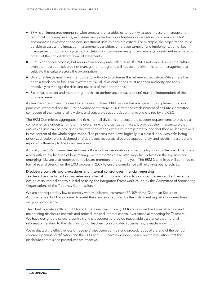- ERM is an integrated enterprise-wide process that enables us to identify, assess, measure, manage and report risk concerns, events, exposures and potential opportunities in a cross-functional manner. ERM encompasses investment and non-investment risks as both are critical. For example, the organization must be able to assess the impact of management transition, employee turnover and implementation of key management information systems. For details on how we understand and manage investment risks, refer to note 2 of the consolidated financial statements.
- ERM is not only a process, but requires an appropriate risk culture. If ERM is not embedded in the culture, even the most sophisticated risk management programs will not be effective. It is up to management to cultivate this culture across the organization.
- Divisional heads must have the tools and authority to optimize the risk-reward equation. While there has been a tendency to focus on investment risk, all divisional heads must use their authority and tools effectively to manage the risks and rewards of their operations.
- Risk measurement and monitoring (much like performance measurement) must be independent of the business areas.

As Teachers' has grown, the need for a more structured ERM process has also grown. To implement the four principles, we formalized the ERM governance structure in 2008 with the establishment of an ERM Committee, composed of the heads of all divisions and corporate support departments and chaired by the CEO.

The ERM Committee aggregates the risks from all divisions and corporate support departments to provide a comprehensive understanding of the overall risks the organization faces. It provides the infrastructure that ensures all risks can be brought to the attention of the executive team promptly, and that they will be reviewed in the context of the whole organization. The process then flows logically in a closed loop, with risks being prioritized, action plans designed and deployed, resources allocated appropriately, and results measured and reported, ultimately to the board members.

Annually, the ERM Committee performs a thorough risk evaluation and reports top risks to the board members along with an explanation of how management mitigates these risks. Regular updates on the top risks and emerging risks are also reported to the board members through the year. The ERM Committee will continue to formalize and strengthen the ERM process in 2009 to ensure compliance with evolving best practices.

### Disclosure controls and procedures and internal control over financial reporting

Teachers' has conducted a comprehensive internal control evaluation to document, assess and enhance the design of its internal controls. It did so using the Integrated Framework issued by the Committee of Sponsoring Organizations of the Treadway Commission.

We are not required by law to comply with Multilateral Instrument 52-109 of the Canadian Securities Administrators, but have chosen to meet the standards required by the Instrument as part of our emphasis on good governance.

The Chief Executive Officer (CEO) and Chief Financial Officer (CFO) are responsible for establishing and maintaining disclosure controls and procedures and internal control over financial reporting for Teachers'. We have designed disclosure controls and procedures to provide reasonable assurance that material information relating to the plan, including Teachers' consolidated subsidiaries, is made known to us.

We evaluated the effectiveness of Teachers' disclosure controls and procedures as of the end of the period covered by annual certification and the CEO and CFO have concluded, based on the evaluation, that the disclosure controls and procedures are effective.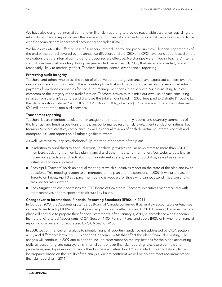We have also designed internal control over financial reporting to provide reasonable assurance regarding the reliability of financial reporting and the preparation of financial statements for external purposes in accordance with Canadian generally accepted accounting principles (GAAP).

We have evaluated the effectiveness of Teachers' internal control and procedures over financial reporting as of the end of the period covered by the annual certification, and the CEO and CFO have concluded, based on the evaluation, that the internal controls and procedures are effective. No changes were made in Teachers' internal control over financial reporting during the year ended December 31, 2008, that materially affected, or are reasonably likely to materially affect, Teachers' internal control over financial reporting.

### Protecting audit integrity

Teachers' and others who stress the value of effective corporate governance have expressed concern over the years about relationships in which the accounting firms that audit public companies also receive substantial payments from those companies for non-audit management consulting services. Such consulting fees can compromise the integrity of the audit function. Teachers' strives to minimize our own use of such consulting services from the plan's auditors and discloses the total amount paid. In 2008, fees paid to Deloitte & Touche LLP, the plan's auditors, totalled \$4.1 million (\$3.2 million in 2007), of which \$3.7 million was for audit activities and \$0.4 million for other, non-audit services.

### Transparent reporting

Teachers' board members receive from management in-depth monthly reports and quarterly summaries of the financial and funding positions of the plan, performance results, risk levels, client satisfaction ratings, key Member Services statistics, compliance, as well as annual reviews of each department, internal controls and enterprise risk, and reports on all other significant events.

As well, we strive to keep stakeholders fully informed of the state of the plan:

- In addition to publishing this annual report, Teachers' provides regular newsletters to more than 284,000 members, updating them on key plan financial and other important information. Our website details plan governance practices and facts about our investment strategy and major portfolios, as well as service initiatives and news updates.
- Each April, Teachers' holds an annual meeting at which executives report on the state of the plan and invite questions. This meeting is open to all members of the plan and the sponsors. In 2009, it will take place in Toronto on Friday, April 3 at 5 p.m. The meeting is webcast for those who cannot attend in person and is archived for later viewing.
- Each August, the chair addresses the OTF Board of Governors. Teachers' executives meet regularly with representatives of both sponsors to discuss key issues.

### Changeover to International Financial Reporting Standards (IFRSs) in 2011

In October 2008, the Accounting Standards Board of Canada confirmed that publicly accountable enterprises in Canada are to adopt IFRSs for fiscal years beginning on or after January 1, 2011. However, Canadian pension plans will continue to prepare their financial statements, after January 1, 2011, in accordance with Canadian Institute of Chartered Accountants (CICA) Section 4100, Pension Plans, and apply IFRSs only when the financial reporting guidance is not addressed by CICA Section 4100.

In 2008, we commenced an analysis to identify financial reporting guidance not addressed by CICA Section 4100, and differences between IFRSs and the Canadian GAAP that affect the plan's financial reporting. The analysis will continue in 2009 and expand to include assessment on the implications for the plan's accounting policies, accounting and data systems, internal control over financial reporting, disclosure controls and procedures, employee education and other business activities. In 2009, a detailed implementation plan will be prepared based on the results of the analysis. We are confident we will be able to meet requirements for financial reporting in 2011.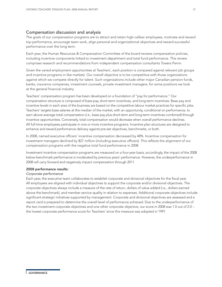### Compensation discussion and analysis

The goals of our compensation programs are to attract and retain high-caliber employees, motivate and reward top performance, encourage team work, align personal and organizational objectives and reward successful performance over the long term.

Each year, the Human Resources & Compensation Committee of the board reviews compensation policies, including incentive components linked to investment department and total fund performance. This review comprises research and recommendations from independent compensation consultants Towers Perrin.

Given the varied employment opportunities at Teachers', each position is compared against relevant job groups and incentive programs in like markets. Our overall objective is to be competitive with those organizations against which we compete directly for talent. Such organizations include other major Canadian pension funds, banks, insurance companies, investment counsels, private investment managers; for some positions we look at the general financial industry.

Teachers' compensation program has been developed on a foundation of "pay for performance." Our compensation structure is composed of base pay, short-term incentives, and long-term incentives. Base pay and incentive levels in each area of the business are based on the competitive labour market practices for specific jobs. Teachers' targets base salaries at the median of the market, with an opportunity, conditional on performance, to earn above-average total compensation (i.e., base pay plus short-term and long-term incentives combined) through incentive opportunities. Conversely, total compensation would decrease when overall performance declines. All full-time employees participate in one or more incentive programs. Incentive plan structures are designed to enhance and reward performance delivery against pre-set objectives, benchmarks, or both.

In 2008, named executive officers' incentive compensation decreased by 48%. Incentive compensation for investment managers declined by \$27 million (including executive officers). This reflects the alignment of our compensation programs with the negative total fund performance in 2008.

Investment incentive compensation programs are measured on a four-year basis; accordingly, the impact of the 2008 below-benchmark performance is moderated by previous years' performance. However, the underperformance in 2008 will carry forward and negatively impact compensation through 2011.

### 2008 performance results:

### *Corporate performance*

Each year, the executive team collaborates to establish corporate and divisional objectives for the fiscal year. All employees are aligned with individual objectives to support the corporate and/or divisional objectives. The corporate objectives always include a measure of the rate of return, dollars of value added (i.e., dollars earned above the benchmark), and member service quality in relation to expenses. Additional corporate objectives include significant strategic initiatives supported by management. Corporate and divisional objectives are assessed and a report card is prepared to determine the overall level of performance achieved. Due to the underperformance of the two investment corporate objectives and one other corporate objective, our score in 2008 was 1.0 out of 2.0 – the lowest corporate performance score for Teachers' since this measure was adopted in 1991.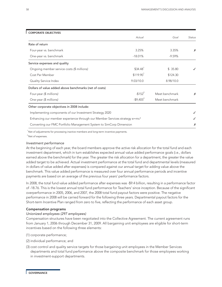| <b>CORPORATE OBJECTIVES</b>                                                            |                          |                |               |  |
|----------------------------------------------------------------------------------------|--------------------------|----------------|---------------|--|
|                                                                                        | Actual                   | Goal           | <b>Status</b> |  |
| Rate of return                                                                         |                          |                |               |  |
| Four-year vs. benchmark                                                                | 3.25%                    | 3.35%          | Х             |  |
| One-year vs. benchmark                                                                 | $-18.01%$                | $-9.59%$       |               |  |
| Service expenses and quality                                                           |                          |                |               |  |
| Ongoing member service costs (\$ millions)                                             | $$34.48$ <sup>1</sup>    | \$35.80        |               |  |
| Cost Per Member                                                                        | $$119.90$ <sup>1</sup>   | \$124.30       |               |  |
| Quality Service Index                                                                  | 9.03/10.0                | 8.98/10.0      |               |  |
| Dollars of value added above benchmarks (net of costs)                                 |                          |                |               |  |
| Four-year (\$ millions)                                                                | $-$ \$152 <sup>2</sup>   | Meet benchmark | Х             |  |
| One-year (\$ millions)                                                                 | $-$ \$9,405 <sup>2</sup> | Meet benchmark |               |  |
| Other corporate objectives in 2008 include:                                            |                          |                |               |  |
| Implementing components of our Investment Strategy 2020                                |                          |                |               |  |
| Enhancing our member experience through our Member Services strategy e=mc <sup>3</sup> |                          |                |               |  |
| Converting our FMC Portfolio Management System to SimCorp Dimension                    |                          |                | Х             |  |

 $<sup>1</sup>$  Net of adjustments for processing inactive members and long-term incentive payments.</sup>

<sup>2</sup> Net of expenses.

### *Investment performance*

At the beginning of each year, the board members approve the active risk allocation for the total fund and each investment department, which in turn establishes expected annual value added performance goals (i.e., dollars earned above the benchmark) for the year. The greater the risk allocation for a department, the greater the value added target to be achieved. Actual investment performance at the total fund and departmental levels (measured in dollars of value added after expenses) is compared against our annual target for adding value above the benchmark. This value added performance is measured over four annual performance periods and incentive payments are based on an average of the previous four years' performance factors.

In 2008, the total fund value added performance after expenses was -\$9.4 billion, resulting in a performance factor of -18.76. This is the lowest annual total fund performance for Teachers' since inception. Because of the significant overperformance in 2005, 2006, and 2007, the 2008 total fund payout factors were positive. The negative performance in 2008 will be carried forward for the following three years. Departmental payout factors for the Short-term Incentive Plan ranged from zero to five, reflecting the performance of each asset group.

### Compensation programs

### *Unionized employees (297 employees)*

Compensation structures have been negotiated into the Collective Agreement. The current agreement runs from January 1, 2006 through December 31, 2009. All bargaining unit employees are eligible for short-term incentives based on the following three elements:

- (1) corporate performance;
- (2) individual performance; and
- (3) cost control and quality service targets for those bargaining unit employees in the Member Services departments and total fund performance above the composite benchmark for those employees working in investment-support departments.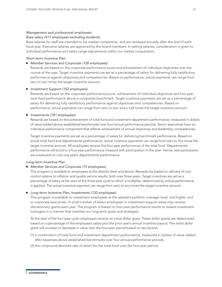### *Management and professional employees:*

### *Base salary (411 employees excluding students)*

Base salaries for staff are intended to be market competitive, and are reviewed annually after the end of each fiscal year. Executive salaries are approved by the board members. In setting salaries, consideration is given to individual performance and salary range adjustments within our market comparators.

### *Short-term Incentive Plan*

### **■** *Member Services and Corporate (128 employees)*

Rewards are based on the corporate performance score and achievement of individual objectives over the course of the year. Target incentive payments are set as a percentage of salary for delivering fully satisfactory performance against objectives and competencies. Based on performance, actual payments can range from zero to two times the target incentive amount.

### **■** *Investment Support (102 employees)*

Rewards are based on the corporate performance score, achievement of individual objectives and four-year total fund performance above a composite benchmark. Target incentive payments are set as a percentage of salary for delivering fully satisfactory performance against objectives and competencies. Based on performance, actual payments can range from zero to two and a half times the target incentive amount.

### **■** *Investments (181 employees)*

Rewards are based on the achievement of total fund and investment department performance, measured in dollars of value added above established benchmarks over four annual performance periods. Senior executives have an individual performance component that reflects achievement of annual objectives and leadership competencies.

Target incentive payments are set as a percentage of salary for delivering benchmark performance. Based on actual total fund and departmental performance, actual incentive payments can range from zero to five times the target incentive amount. All employees receive the four-year performance of the total fund. Departmental performance will build to a four-year performance measure with participation in the plan. Hence new participants are measured on only one year's departmental performance.

### *Long-term Incentive Plan*

### **■** *Member Services and Corporate (15 employees)*

This program is available to employees at the director level and above. Rewards are based on delivery of cost control relative to inflation and quality service results, both over three years. Target incentives are set as a percentage of salary at the start of the three-year cycle to which a multiplier, determined by actual performance, is applied. The actual incentive payment can range from zero to two times the target incentive amount.

### **■** *Long-term Incentive Plan, Investments (132 employees)*

This program is available to investment employees at the assistant portfolio manager level, and higher, and to corporate executives. A small number of select employees in investment support areas may receive discretionary grants each year. The program is based on four-year performance results to reward investment managers in a manner that matches our long-term goals and strategies.

At the start of the four-year cycle, employees receive an initial dollar grant. These dollar grants are determined based on a percentage of the employee's salary plus the prior year's annual incentive payout. The initial dollar grant will increase or decrease in value over the four-year period based on two factors:

- (1) a combination of total fund and investment department performance, measured in dollars of value added after expenses above established benchmarks over four annual performance periods.
- (2) the compound absolute rate of return for the total fund over the four-year period.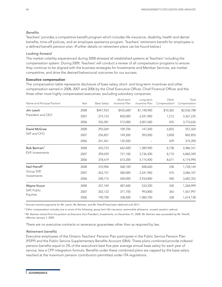### *Benefits*

Teachers' provides a competitive benefit program which includes life insurance, disability, health and dental benefits, time-off policies, and an employee assistance program. Teachers' retirement benefit for employees is a defined benefit pension plan. (Further details on retirement plans can be found below.)

### *Looking forward*

The market volatility experienced during 2008 stressed all established systems at Teachers' including the compensation system. During 2009, Teachers' will conduct a review of all compensation programs to ensure they continue to be aligned with the business strategies for Investments and Member Services, are market competitive, and drive the desired behavioural outcomes for our success.

### Executive compensation

The compensation table represents disclosure of base salary, short- and long-term incentives and other compensation earned in 2008, 2007 and 2006 by the Chief Executive Officer, Chief Financial Officer and the three other most highly compensated executives, excluding subsidiary companies.

| Name and Principal Position | Year | <b>Base Salary</b> | Short-term<br>Incentive Plan | Long-term<br>Incentive Plan | Other<br>Compensation <sup>2</sup> | Total<br>Compensation |
|-----------------------------|------|--------------------|------------------------------|-----------------------------|------------------------------------|-----------------------|
| Jim Leech                   | 2008 | \$441,923          | \$435,6001                   | \$1,148,900                 | \$10,365                           | \$2,036,788           |
| President and CEO           | 2007 | 274,123            | 850,000                      | 2,241,900                   | 1,212                              | 3,367,235             |
|                             | 2006 | 256,581            | 512,000                      | 3,007,600                   | 455                                | 3,776,636             |
| David McGraw                | 2008 | 293,269            | 109,700                      | 147,500                     | 6,855                              | 557,324               |
| SVP and CFO                 | 2007 | 256,827            | 149,200                      | 393,000                     | 3,828                              | 802,855               |
|                             | 2006 | 241,461            | 132,500                      |                             | 429                                | 374,390               |
| Bob Bertram <sup>3</sup>    | 2008 | 425,723            | 662,4001                     | 1,389,900                   | 8,738                              | 2,486,761             |
| EVP, Investments            | 2007 | 394,039            | 721,100                      | 3,736,500                   | 8,710                              | 4,860,349             |
|                             | 2006 | 378,619            | 673,300                      | 5,114,400                   | 8,671                              | 6,174,990             |
| Neil Petroff <sup>3</sup>   | 2008 | 310,906            | 568,1001                     | 848,600                     | 538                                | 1,728,144             |
| Group SVP,                  | 2007 | 263,731            | 580,000                      | 2,241,900                   | 476                                | 3,086,107             |
| Investments                 | 2006 | 248,115            | 500,000                      | 2,933,800                   | 440                                | 3,682,355             |
| Wayne Kozun                 | 2008 | 247,769            | 487,600                      | 533,200                     | 430                                | 1,268,999             |
| SVP, Public                 | 2007 | 202,132            | 371,700                      | 993,800                     | 365                                | 1,567,997             |
| Equities                    | 2006 | 190,700            | 338,400                      | 1,084,700                   | 338                                | 1,614,138             |

<sup>1</sup> Annual incentive payments for Mr. Leech, Mr. Bertram, and Mr. Petroff have been deferred until 2011.

<sup>2</sup> Other compensation includes one or more of the following: group term life insurance, automobile allowance, unused vacation cashout.

<sup>3</sup> Mr. Bertram retired from his position as Executive Vice President, Investments, on December 31, 2008. Mr. Bertram was succeeded by Mr. Petroff, effective January 1, 2009.

There are no executive contracts or severance guarantees other than as required by law.

### *Retirement benefits*

Executive employees of the Ontario Teachers' Pension Plan participate in the Public Service Pension Plan (PSPP) and the Public Service Supplementary Benefits Account (SBA). These plans combined provide indexed pension benefits equal to 2% of the executive's best five-year average annual base salary for each year of service, less a CPP integration formula. Benefits under these combined plans are capped by the base salary reached at the maximum pension contribution permitted under ITA regulations.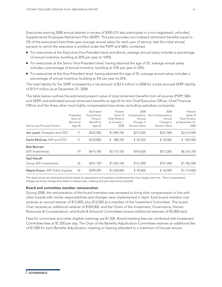Executives earning 2008 annual salaries in excess of \$200,315 also participate in a non-registered, unfunded Supplemental Employee Retirement Plan (SERP). This plan provides non-indexed retirement benefits equal to 2% of the executive's best three-year average annual salary for each year of service, less the initial annual pension to which the executive is entitled under the PSPP and SBA, combined.

- For executives at the Executive Vice-President level and above, average annual salary includes a percentage of annual incentive, building at 20% per year to 100%.
- For executives at the Senior Vice-President level, having attained the age of 55, average annual salary includes a percentage of annual incentive, building at 10% per year to 50%.
- For executives at the Vice-President level, having attained the age of 55, average annual salary includes a percentage of annual incentive, building at 5% per year to 25%.

The total liability for the SERP increased by a net amount of \$3.5 million in 2008 for a total accrued SERP liability of \$15.9 million as at December 31, 2008.

The table below outlines the estimated present value of total retirement benefits from all sources (PSPP, SBA and SERP) and estimated annual retirement benefits at age 65 for the Chief Executive Officer, Chief Financial Officer and the three other most highly compensated executives, excluding subsidiary companies.

| Name and Principal Position            | Projected<br>Years of<br>Service at<br>Age 65 | Estimated<br><b>Total Annual</b><br>Pension<br>Benefit at<br>Age 65 | Present<br>Value of<br><b>Total Pension</b><br>at January 1,<br>2008 | 2008<br>Compensatory<br>Annual<br>Change in<br>Pension Value | 2008<br>Non-Compensatory<br>Annual<br>Change in<br>Pension Value | Present<br>Value of<br><b>Total Pension</b><br>at December 31,<br>2008 |
|----------------------------------------|-----------------------------------------------|---------------------------------------------------------------------|----------------------------------------------------------------------|--------------------------------------------------------------|------------------------------------------------------------------|------------------------------------------------------------------------|
| Jim Leech, President and CEO           | 11                                            | \$252,000                                                           | \$1,984,700                                                          | \$273,200                                                    | \$257,000                                                        | \$2,514,900                                                            |
| David McGraw, SVP and CFO              | 17                                            | \$150,800                                                           | 288,700<br>$\mathbb{S}^-$                                            | \$83,200                                                     | \$34,000                                                         | 405,900<br>\$                                                          |
| <b>Bob Bertram</b><br>EVP, Investments | 19                                            | \$413,100                                                           | \$5,175,100                                                          | \$418,600                                                    | \$572,000                                                        | \$6,165,700                                                            |
| Neil Petroff<br>Group SVP, Investments | 32                                            | \$391,100                                                           | \$1,554,100                                                          | \$131,000                                                    | \$101.400                                                        | \$1,786,500                                                            |
| Wayne Kozun, SVP, Public Equities      | 36                                            | \$394,200                                                           | \$1,030,000                                                          | \$92.800                                                     | \$54.000                                                         | \$1,176,800                                                            |

The values shown are estimated amounts based on assumptions and represent entitlements that may change over time. "Non-compensatory" changes are those changes that relate to interest rates, indexing and joint and survivor benefits.

### Board and committee member remuneration

During 2008, the remuneration of the board members was reviewed to bring their compensation in line with other boards with similar responsibilities and changes were implemented in April. Each board member now receives an annual retainer of \$12,000, plus \$12,000 as a member of the Investment Committee. The board Chair receives an additional retainer of \$100,000, and the Chairs of the Investment, Governance, Human Resources & Compensation, and Audit & Actuarial Committees receive additional retainers of \$5,000 each.

Fees for committee and other eligible meetings are \$1,200. Board meeting fees are combined with Investment Committee fees at \$1,500 per day. The Chair of the Benefits Adjudication Committee receives an additional fee of \$1,000 for each Benefits Adjudication meeting or hearing attended to a maximum of five per annum.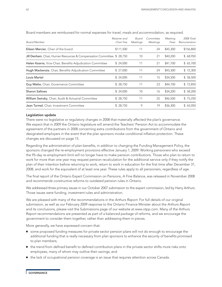| <b>Board Member</b>                                                    | Retainer and<br>Chair Fee | Board<br>Meetings | Committee<br>Meetings | Meeting<br>Fees | 2008 Total<br>Remuneration |
|------------------------------------------------------------------------|---------------------------|-------------------|-----------------------|-----------------|----------------------------|
| Eileen Mercier, Chair of the board                                     | \$111,500                 | 11                | 24                    | \$45,300        | \$156,800                  |
| Jill Denham, Chair, Human Resources & Compensation Committee \$ 28,750 |                           | 10                | 21                    | \$40,200        | \$68,950                   |
| Helen Kearns, Vice-Chair, Benefits Adjudication Committee              | \$24,000                  | 11                | 21                    | \$41,700        | \$65,700                   |
| Hugh Mackenzie, Chair, Benefits Adjudication Committee                 | \$27,000                  | 11                | 24                    | \$45,300        | \$72,300                   |
| Louis Martel                                                           | \$24,000                  | 11                | 15                    | \$34,500        | \$58,500                   |
| Guy Matte, Chair, Governance Committee                                 | \$28,750                  | 11                | 23                    | \$44,100        | \$72,850                   |
| <b>Sharon Sallows</b>                                                  | \$24,000                  | 10                | 16                    | \$34,200        | \$58,200                   |
| William Swirsky, Chair, Audit & Actuarial Committee                    | \$28,750                  | 11                | 25                    | \$46,500        | \$75,250                   |
| Jean Turmel, Chair, Investment Committee                               | \$28,750                  | 9                 | 19                    | \$36,300        | \$65,050                   |

Board members are reimbursed for normal expenses for travel, meals and accommodation, as required.

### Legislation update

There were no legislative or regulatory changes in 2008 that materially affected the plan's governance. We expect that in 2009 the Ontario legislature will amend the Teachers' Pension Act to accommodate the agreement of the partners in 2008 concerning extra contributions from the government of Ontario and designated employers in the event that the plan sponsors invoke conditional inflation protection. These changes are discussed on page 15.

Regarding the administration of plan benefits, in addition to changing the Funding Management Policy, the sponsors changed the re-employment provisions effective January 1, 2009. Working pensioners who exceed the 95-day re-employment limit will no longer have to make pension contributions. Those who plan to return to work for more than one year may request pension recalculation for the additional service only if they notify the plan of their intention before returning to work, return to work in education for the first time after December 31, 2008, and work for the equivalent of at least one year. These rules apply to all pensioners, regardless of age.

The final report of the Ontario Expert Commission on Pensions, *A Fine Balance*, was released in November 2008 and recommends constructive reforms to outdated pension rules in Ontario.

We addressed three primary issues in our October 2007 submission to the expert commission, led by Harry Arthurs. Those issues were funding, investment rules and administration.

We are pleased with many of the recommendations in the *Arthurs Report*. For full details of our original submission, as well as our February 2009 response to the Ontario Finance Minister about the *Arthurs Report* and its conclusions, please visit the Submissions page of our website at www.otpp.com. Many of the Arthurs Report recommendations are presented as part of a balanced package of reforms, and we encourage the government to consider them together, rather than addressing them in pieces.

More generally, we have expressed concern that:

- some proposed funding measures for private sector pension plans will not do enough to encourage the additional funding that is really necessary from plan sponsors to enhance the security of benefits promised to plan members;
- the trend from defined benefit to defined contribution plans in the private sector shifts more risks onto employees, many of whom may outlive their savings; and
- the lack of occupational pension coverage is an issue that requires attention across Canada.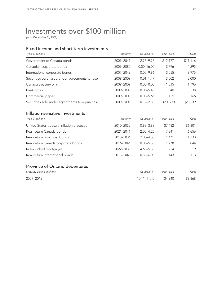# Investments over \$100 million

*(as at December 31, 2008)*

### Fixed income and short-term investments

| Type (\$ millions)                                    | Maturity  | Coupon (%)     | Fair Value | Cost      |
|-------------------------------------------------------|-----------|----------------|------------|-----------|
| Government of Canada bonds                            | 2009-2041 | $2.75 - 9.75$  | \$12,177   | \$11,116  |
| Canadian corporate bonds                              | 2009-2085 | $0.00 - 16.00$ | 3,796      | 4,295     |
| International corporate bonds                         | 2007-2049 | $0.00 - 9.86$  | 3,055      | 3,975     |
| Securities purchased under agreements to resell       | 2009-2009 | $0.01 - 1.47$  | 3,002      | 3,000     |
| Canada treasury bills                                 | 2009-2009 | $0.00 - 0.00$  | 1,815      | 1,796     |
| Bank notes                                            | 2009-2009 | $0.00 - 5.43$  | 540        | 538       |
| Commercial paper                                      | 2009-2009 | $0.00 - 5.66$  | 159        | 166       |
| Securities sold under agreements to repurchase        | 2009-2009 | $0.12 - 2.35$  | (20, 569)  | (20, 539) |
| Inflation-sensitive investments<br>Type (\$ millions) | Maturity  | Coupon (%)     | Fair Value | Cost      |
| United States treasury inflation protection           | 2010-2032 | $0.88 - 3.88$  | \$7,482    | \$6,801   |
| Real-return Canada bonds                              | 2021-2041 | $2.00 - 4.25$  | 7,341      | 6,656     |
| Real-return provincial bonds                          | 2013-2036 | $2.00 - 4.50$  | 1,471      | 1,333     |
| Real-return Canada corporate bonds                    | 2016-2046 | $0.00 - 5.33$  | 1.278      | 844       |
| Index-linked mortgages                                | 2022-2030 | $4.63 - 5.53$  | 234        | 219       |
| Real-return international bonds                       | 2015-2045 | $0.50 - 6.00$  | 143        | 113       |
| <b>Province of Ontario debentures</b>                 |           |                |            |           |
| Maturity Date (\$ millions)                           |           | Coupon (%)     | Fair Value | Cost      |
| 2009-2012                                             |           | 10.11-11.40    | \$4,340    | \$3,868   |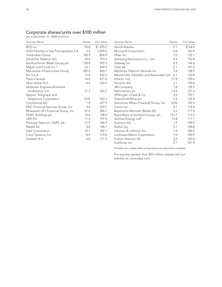### Corporate shares/units over \$100 million

*(as at December 31, 2008) (millions)*

| <b>Security Name</b>                  | Shares | Fair Value | <b>Security Name</b>                     | Shares | Fair Value |
|---------------------------------------|--------|------------|------------------------------------------|--------|------------|
| BCE Inc.                              | 50.8   | \$1,295.2  | Sanofi-Aventis                           | 2.1    | \$164.4    |
| OGX Petróleo e Gás Participações S.A. | 3.9    | 1,095.6    | Microsoft Corporation                    | 6.8    | 162.9      |
| Transurban Group                      | 180.3  | 854.9      | Pfizer Inc.                              | 7.0    | 153.1      |
| Deutsche Telekom AG                   | 43.0   | 793.9      | Samsung Electronics Co., Ltd.            | 0.4    | 152.8      |
| Northumbrian Water Group plc          | 138.8  | 592.5      | Safeway Inc.                             | 4.9    | 144.6      |
| Maple Leaf Foods Inc.*                | 53.7   | 549.9      | <b>Total SA</b>                          | 2.1    | 141.2      |
| Macquarie Infrastructure Group        | 285.5  | 444.7      | Manitoba Telecom Services Inc.           | 3.8    | 138.9      |
| Eni S.p.A.                            | 15.0   | 432.2      | Macdonald, Dettwiler and Associates Ltd. | 6.1    | 132.0      |
| Petro-Canada                          | 16.0   | 431.6      | Hitachi, Ltd.                            | 27.8   | 130.4      |
| Akzo Nobel N.V.                       | 6.6    | 334.4      | Novartis AG                              | 2.1    | 130.0      |
| Multiplan Empreendimentos             |        |            | 3M Company                               | 1.8    | 128.5      |
| Imobiliários S.A.                     | 51.3   | 334.2      | Hammerson plc                            | 13.4   | 127.4      |
| Nippon Telegraph and                  |        |            | JPMorgan Chase & Co.                     | 3.2    | 123.1      |
| Telephone Corporation                 | 0.05   | 292.2      | GlaxoSmithKline plc                      | 5.3    | 122.4      |
| Continental AG                        | 1.8    | 227.9      | Sumitomo Mitsui Financial Group, Inc.    | 0.02   | 120.3      |
| PNC Financial Services Group, Inc.    | 3.6    | 220.7      | Canon Inc.                               | 3.1    | 118.4      |
| Mitsubishi UFJ Financial Group, Inc.  | 27.6   | 206.1      | Bayerische Motoren Werke AG              | 3.2    | 117.9      |
| HSBC Holdings plc                     | 16.6   | 198.9      | Royal Bank of Scotland Group, plc        | 131.7  | 115.5      |
| <b>UBS AG</b>                         | 11.4   | 197.0      | NuVista Energy Ltd*                      | 15.8   | 111.1      |
| Portugal Telecom, SGPS, SA            | 17.9   | 186.9      | Siemens AG                               | 1.2    | 109.9      |
| Nestlé SA                             | 3.8    | 184.7      | Nokia Oyj                                | 5.7    | 108.8      |
| Intel Corporation                     | 10.1   | 182.1      | Johnson & Johnson Inc.                   | 1.4    | 106.4      |
| Cisco Systems, Inc.                   | 8.9    | 179.6      | Lockheed Martin Corporation              | 1.0    | 105.9      |
| Unilever N.V.                         | 6.0    | 177.5      | France Telecom SA                        | 3.0    | 102.0      |
|                                       |        |            | Goldcorp Inc.                            | 2.7    | 101.9      |

\*Includes fair market value of warrants and subscription receipts

For equities greater than \$50 million, please visit our website at: www.otpp.com.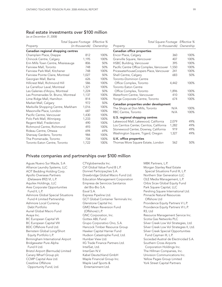### Real estate investments over \$100 million

*(as at December 31, 2008)*

|                                     | Total Square Footage Effective % |      | Total Square Footage Effective %          |       |                          |
|-------------------------------------|----------------------------------|------|-------------------------------------------|-------|--------------------------|
| Property                            | (in thousands) Ownership         |      | Property                                  |       | (in thousands) Ownership |
| Canadian regional shopping centres  |                                  |      | Canadian office properties                |       |                          |
| Champlain Place, Dieppe             | 812                              | 100% | Encor Place, Calgary                      | 360   | 100%                     |
| Chinook Centre, Calgary             | 1,195                            | 100% | Granville Square, Vancouver               | 407   | 100%                     |
| Erin Mills Town Centre, Mississauga | 806                              | 50%  | HSBC Building, Vancouver                  | 395   | 100%                     |
| Fairview Mall, Toronto              | 748                              | 50%  | Pacific Centre Office Complex, Vancouver  | 1,550 | 100%                     |
| Fairview Park Mall, Kitchener       | 748                              | 100% | PricewaterhouseCoopers Place, Vancouver   | 241   | 100%                     |
| Fairview Pointe Claire, Montreal    | 1,027                            | 50%  | Shell Centre, Calgary                     | 683   | 50%                      |
| Georgian Mall, Barrie               | 626                              | 100% | <b>Toronto-Dominion Centre</b>            |       |                          |
| Hillcrest Mall, Richmond Hill       | 586                              | 100% | Office Complex, Toronto                   | 4,442 | 100%                     |
| Le Carrefour Laval, Montreal        | 1,321                            | 100% | <b>Toronto Eaton Centre</b>               |       |                          |
| Les Galeries d'Anjou, Montreal      | 1,224                            | 50%  | Office Complex, Toronto                   | 1,896 | 100%                     |
| Les Promenades St. Bruno, Montreal  | 1,137                            | 100% | Waterfront Centre, Vancouver              | 410   | 100%                     |
| Lime Ridge Mall, Hamilton           | 814                              | 100% | Yonge Corporate Centre, Toronto           | 674   | 100%                     |
| Market Mall, Calgary                | 972                              | 50%  | Canadian properties under development     |       |                          |
| Markville Shopping Centre, Markham  | 1,016                            | 100% | The Shops at Don Mills, Toronto           | N/A   | 100%                     |
| Masonville Place, London            | 687                              | 100% | RBC Centre, Toronto                       | N/A   | 100%                     |
| Pacific Centre, Vancouver           | 1,430                            | 100% |                                           |       |                          |
| Polo Park Mall, Winnipeg            | 1,233                            | 100% | U.S. regional shopping centres            |       |                          |
| Regent Mall, Fredericton            | 490                              | 100% | Lakewood Mall, Lakewood, California       | 2,079 | 49%                      |
| Richmond Centre, Richmond           | 493                              | 100% | Los Cerritos Center, Cerritos, California | 1,282 | 49%                      |
| Rideau Centre, Ottawa               | 694                              | 69%  | Stonewood Center, Downey, California      | 919   | 49%                      |
| Sherway Gardens, Toronto            | 984                              | 100% | Washington Square, Tigard, Oregon         | 1,327 | 49%                      |
| The Promenade, Toronto              | 704                              | 100% | U.K. office properties                    |       |                          |
| Toronto Eaton Centre, Toronto       | 1,722                            | 100% | Thomas More Square Estate, London         | 562   | 50%                      |
|                                     |                                  |      |                                           |       |                          |

### Private companies and partnerships over \$100 million

Aguas Nuevo Sur Maule, S.A Alliance Laundry Systems, LLC AOT Bedding Holding Corp. Apollo Overseas Partners (Delaware 892) VI, L.P. Aquilex Holdings, LLC Ares Corporate Opportunities Fund II, L.P. Ashmore Global Special Situations Fund 4 Limited Partnership Ashmore Local Currency Debt Portfolio Auriel Global Macro Fund Avaya Inc. BC European Capital VII BC European Capital VIII BDC Offshore Fund Ltd. Bernstein Global Long/Short Equity Portfolio L.P. Birmingham International Airport Bridgewater Pure Alpha Fund II Ltd. Bristol Airport (Bermuda) Limited Canary Wharf Group plc CCMP Capital Asia Ltd. Crestline Offshore Opportunity Fund, Ltd.

CTVglobemedia Inc. CVI Global Value Fund B L.P. Donnet Participações S.A. Drawbridge Global Macro Fund Ltd. Education Management Corporation Empresa de Servicios Sanitarios del Bio-Bio S.A. Esval S.A. Express Pipeline Ltd. GCT Global Container Terminals Inc. Glenstone Capital Inc. GMO Mean Reversion Fund (Offshore) L.P. GNC Corporation, Inc. Gottex ABL Fund Grupo Corporativo Ono, S.A. Hancock Timber Resource Group Hawker Capital Harrier Fund Hudson Catastrophe Fund, Ltd. Humber View Ltd. IIG Trade Finance Partners Ltd. IntelSat, Ltd. InterGen N.V. Kabel Deutschland GmbH Maple Financial Group Inc. Maple Leaf Sports & Entertainment Ltd.

MBK Partners, L.P. Morgan Stanley Real Estate Special Situations Fund III, L.P. Northern Star Generation LLC OLE Media Management, L.P. Orbis Sicav Global Equity Fund Park Square Capital, LLC Pershing Square International Ltd. Pinnacle Natural Resources Offshore Ltd Providence Equity Partners V L.P. Providence Equity Partners VI L.P. R3, Ltd Resource Management Service Inc. Scotia Gas Networks PLC Silver Creek Low Vol Strategies, Ltd. Silver Creek Low Vol Strategies II, Ltd. Silver Creek Special Opportunities Fund Cayman III, L.P. Sociedad Austral de Electricidad S.A. Southern Cross Airports Corporation Holdings Inc. The Hillman Companies, Inc. Univision Communications Inc. Yellow Pages Group Limited York Street Capital Partners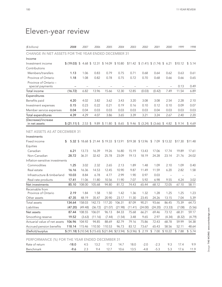| (\$ billions)                                       | 2008                                                                                        | 2007                             | 2006    | 2005                                     | 2004    | 2003    | 2002                                | 2001                               | 2000                             | 1999    | 1998       |
|-----------------------------------------------------|---------------------------------------------------------------------------------------------|----------------------------------|---------|------------------------------------------|---------|---------|-------------------------------------|------------------------------------|----------------------------------|---------|------------|
| CHANGE IN NET ASSETS FOR THE YEAR ENDED DECEMBER 31 |                                                                                             |                                  |         |                                          |         |         |                                     |                                    |                                  |         |            |
| Income                                              |                                                                                             |                                  |         |                                          |         |         |                                     |                                    |                                  |         |            |
| Investment income                                   | $$$ (19.03) $$$ 4.68 $$$ 12.31 $$$ 14.09 $$$ 10.80 $$$ 11.42 $$$ (1.41) $$$ (1.74) $$$ 6.21 |                                  |         |                                          |         |         |                                     |                                    |                                  | \$10.12 | 5.14<br>\$ |
| Contributions                                       |                                                                                             |                                  |         |                                          |         |         |                                     |                                    |                                  |         |            |
| Members/transfers                                   | 1.13                                                                                        | 1.06                             | 0.83    | 0.79                                     | 0.75    | 0.71    | 0.68                                | 0.64                               | 0.62                             | 0.63    | 0.61       |
| Province of Ontario                                 | 1.18                                                                                        | 1.08                             | 0.82    | 0.78                                     | 0.75    | 0.72    | 0.70                                | 0.68                               | 0.66                             | 0.66    | 0.65       |
| Province of Ontario -                               |                                                                                             |                                  |         |                                          |         |         |                                     |                                    |                                  | 0.13    | 0.49       |
| special payments<br>Total income                    | (16.72)                                                                                     | $\overline{\phantom{0}}$<br>6.82 | 13.96   | 15.66                                    | 12.30   | 12.85   | $\overline{\phantom{0}}$<br>(0.03)  | $\overline{\phantom{0}}$<br>(0.42) | $\overline{\phantom{0}}$<br>7.49 | 11.54   | 6.89       |
| Expenditures                                        |                                                                                             |                                  |         |                                          |         |         |                                     |                                    |                                  |         |            |
|                                                     |                                                                                             |                                  |         |                                          |         |         |                                     |                                    |                                  |         |            |
| Benefits paid                                       | 4.20                                                                                        | 4.02                             | 3.82    | 3.62                                     | 3.43    | 3.20    | 3.08                                | 3.08                               | 2.54                             | 2.28    | 2.10       |
| Investment expenses                                 | 0.15                                                                                        | 0.23                             | 0.22    | 0.21                                     | 0.19    | 0.16    | 0.10                                | 0.12                               | 0.10                             | 0.09    | 0.07       |
| Member service expenses                             | 0.04                                                                                        | 0.04                             | 0.03    | 0.03                                     | 0.03    | 0.03    | 0.03                                | 0.04                               | 0.03                             | 0.03    | 0.03       |
| Total expenditures                                  | 4.39                                                                                        | 4.29                             | 4.07    | 3.86                                     | 3.65    | 3.39    | 3.21                                | 3.24                               | 2.67                             | 2.40    | 2.20       |
| (Decrease)/increase<br>in net assets                | \$ (21.11)                                                                                  | $2.53$ \$                        |         | 9.89 \$11.80                             | \$8.65  |         | $$9.46 \$ (3.24) \$ (3.66) \$ 4.82$ |                                    |                                  | \$9.14  | \$4.69     |
| <b>NET ASSETS AS AT DECEMBER 31</b>                 |                                                                                             |                                  |         |                                          |         |         |                                     |                                    |                                  |         |            |
| Investments                                         |                                                                                             |                                  |         |                                          |         |         |                                     |                                    |                                  |         |            |
| Fixed income                                        | \$                                                                                          |                                  |         | 5.32 \$ 18.68 \$ 21.44 \$ 19.33 \$ 13.91 |         |         | \$19.38 \$13.96 \$7.09 \$13.32      |                                    |                                  | \$17.30 | \$11.48    |
| Equities                                            |                                                                                             |                                  |         |                                          |         |         |                                     |                                    |                                  |         |            |
| Canadian                                            | 6.21                                                                                        | 13.73                            | 16.39   | 19.26                                    | 16.80   | 15.19   | 13.43                               | 17.06                              | 17.74                            | 19.89   | 17.61      |
| Non-Canadian                                        | 28.72                                                                                       | 36.31                            | 32.42   | 25.78                                    | 23.09   | 19.13   | 18.19                               | 24.28                              | 23.14                            | 21.76   | 24.02      |
| Inflation-sensitive investments                     |                                                                                             |                                  |         |                                          |         |         |                                     |                                    |                                  |         |            |
| Commodities                                         | 1.25                                                                                        | 3.02                             | 2.32    | 2.65                                     | 2.13    | 1.89    | 1.48                                | 1.09                               | 2.10                             | 1.09    | 0.40       |
| Real estate                                         | 16.16                                                                                       | 16.36                            | 14.53   | 12.45                                    | 10.90   | 9.87    | 11.49                               | 11.59                              | 6.20                             | 2.82    | 1.58       |
| Infrastructure & timberland                         | 10.03                                                                                       | 8.84                             | 6.78    | 4.77                                     | 2.99    | 1.90    | 0.97                                | 0.03                               | $\equiv$                         |         |            |
| Real-rate products                                  | 17.41                                                                                       | 11.06                            | 11.80   | 10.56                                    | 11.90   | 7.07    | 5.92                                | 6.98                               | 9.55                             | 4.24    | 3.02       |
| Net investments                                     | 85.10                                                                                       | 108.00                           | 105.68  | 94.80                                    | 81.72   | 74.43   | 65.44                               | 68.12                              | 72.05                            | 67.10   | 58.11      |
| Receivable from                                     |                                                                                             |                                  |         |                                          |         |         |                                     |                                    |                                  |         |            |
| Province of Ontario                                 | 2.19                                                                                        | 1.84                             | 1.58    | 1.50                                     | 1.42    | 1.36    | 1.32                                | 1.28                               | 1.25                             | 1.25    | 1.23       |
| Other assets                                        | 47.35                                                                                       | 48.19                            | 35.47   | 20.90                                    | 23.17   | 11.30   | 23.45                               | 24.26                              | 13.15                            | 7.04    | 5.39       |
| Total assets                                        | 134.64                                                                                      | 158.03                           | 142.73  | 117.20                                   | 106.31  | 87.09   | 90.21                               | 93.66                              | 86.45                            | 75.39   | 64.73      |
| Liabilities                                         | (47.20)                                                                                     | (49.48)                          | (36.72) | (21.07)                                  | (21.98) | (11.41) | (24.00)                             | (24.20)                            | (13.33)                          | (7.08)  | (5.56)     |
| Net assets                                          | 87.44                                                                                       | 108.55                           | 106.01  | 96.13                                    | 84.33   | 75.68   | 66.21                               | 69.46                              | 73.12                            | 68.31   | 59.17      |
| Smoothing reserve                                   | 19.52                                                                                       | (3.63)                           | (11.16) | (7.44)                                   | (1.54)  | 3.48    | 9.65                                | 2.97                               | (4.34)                           | (8.32)  | (4.79)     |
| Actuarial value of net assets                       | 106.96                                                                                      | 104.92                           | 94.85   | 88.69                                    | 82.79   | 79.16   | 75.86                               | 72.43                              | 68.78                            | 59.99   | 54.38      |
| Accrued pension benefits                            | 118.14                                                                                      | 115.46                           | 110.50  | 110.53                                   | 96.73   | 83.12   | 73.67                               | 65.43                              | 58.56                            | 52.11   | 48.64      |
| (Deficit)/surplus                                   | $$$ (11.18) $$$ (10.54) $$$ (15.65) $$$ (21.84) $$$ (13.94)                                 |                                  |         |                                          |         |         | \$ (3.96) \$2.19                    | \$7.00                             | \$10.22                          | \$7.88  | \$5.74     |
| PERFORMANCE (%) FOR THE YEAR ENDED DECEMBER 31      |                                                                                             |                                  |         |                                          |         |         |                                     |                                    |                                  |         |            |
| Rate of return                                      | $-18.0$                                                                                     | 4.5                              | 13.2    | 17.2                                     | 14.7    | 18.0    | $-2.0$                              | $-2.3$                             | 9.3                              | 17.4    | 9.9        |
| Benchmark                                           | $-9.6$                                                                                      | 2.3                              | 9.4     | 12.7                                     | 10.6    | 13.5    | $-4.8$                              | $-5.3$                             | 5.3                              | 17.6    | 11.9       |

# Eleven-year review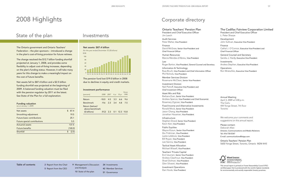# Corporate directory

### Ontario Teachers' Pension Plan

President and Chief Executive Officer Jim Leech

Audit Services Peter Maher, Vice-President

Finance David McGraw, Senior Vice-President and Chief Financial Officer

Human Resources Marcia Mendes-d'Abreu, Vice-President

Law Roger Barton, Vice-President, General Counsel and Secretary

Information & Technology Russ Bruch, Vice-President and Chief Information Officer Phil Nichols, Vice-President

Member Services Division Rosemarie McClean, Senior Vice-President

Investment Division Neil Petroff, Executive Vice-President and Chief Investment Officer

Asset Mix and Risk Barbara Zvan, Senior Vice-President Andrew Spence, Vice-President and Chief Economist Rosemary Zigrossi, Vice-President

Fixed Income and Alternative Investments Ronald Mock, Senior Vice-President Jason Chang, Vice-President Jonathan Hausman, Vice-President

Infrastructure Stephen Dowd, Senior Vice-President Kevin Kerr, Vice-President

Public Equities Wayne Kozun, Senior Vice-President Zev Frishman, Vice-President Leslie Lefebvre, Vice-President Bill Royan, Vice-President Lee Sienna, Vice-President

Tactical Asset Allocation Michael Wissell, Vice-President

Teachers' Private Capital Erol Uzumeri, Senior Vice-President Andrew Claerhout, Vice-President Shael Dolman, Vice-President Glen Silvestri, Vice-President

Investment Operations Dan Houle, Vice-President

### The Cadillac Fairview Corporation Limited

President and Chief Executive Officer L. Peter Sharpe

Development John Sullivan, Executive Vice-President

Finance Cathal J. O'Connor, Executive Vice-President and Chief Financial Officer

General Counsel and Secretary Sandra J. Hardy, Executive Vice-President

Investments Andrea Stephen, Executive Vice-President

**Operations** Ron Wratschko, Executive Vice-President

Annual Meeting April 3, 2009 at 5:00 p.m. The Carlu 444 Yonge Street, 7th floor Toronto

We welcome your comments and suggestions on this annual report.

Please contact: Deborah Allan Director, Communications and Media Relations Tel: 416-730-5347 E-mail: communications@otpp.com

Ontario Teachers' Pension Plan 5650 Yonge Street, Toronto, Ontario M2M 4H5



This annual report is printed on Forest Stewardship Council (FSC) certified paper that is produced with the world's highest standards for environmentally and socially responsible forestry practices.